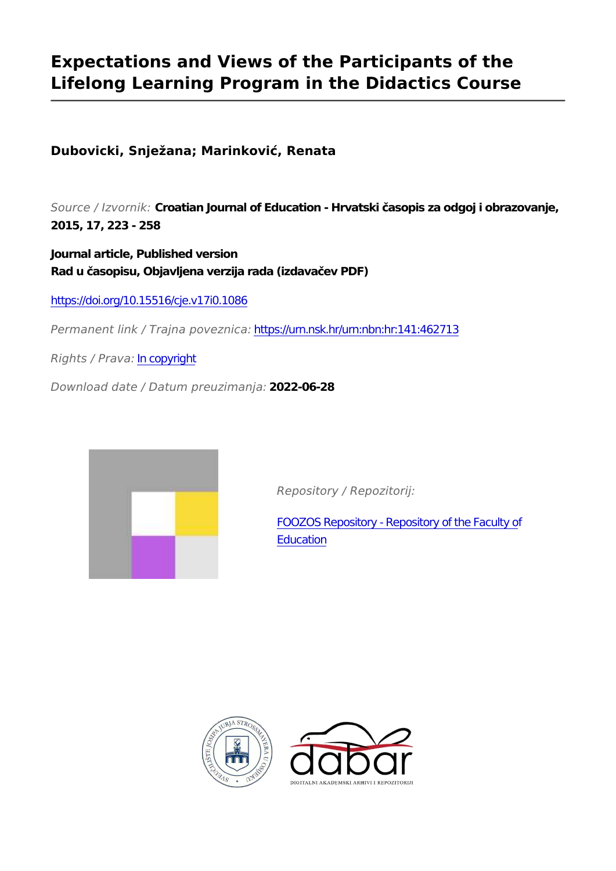# **Expectations and Views of the Participants of the Lifelong Learning Program in the Didactics Course**

**Dubovicki, Snježana; Marinković, Renata**

*Source / Izvornik:* **Croatian Journal of Education - Hrvatski časopis za odgoj i obrazovanje, 2015, 17, 223 - 258**

**Journal article, Published version Rad u časopisu, Objavljena verzija rada (izdavačev PDF)**

<https://doi.org/10.15516/cje.v17i0.1086>

*Permanent link / Trajna poveznica:* <https://urn.nsk.hr/urn:nbn:hr:141:462713>

*Rights / Prava:* [In copyright](http://rightsstatements.org/vocab/InC/1.0/)

*Download date / Datum preuzimanja:* **2022-06-28**



*Repository / Repozitorij:*

[FOOZOS Repository - Repository of the Faculty o](https://repozitorij.foozos.hr)f **[Education](https://repozitorij.foozos.hr)** 



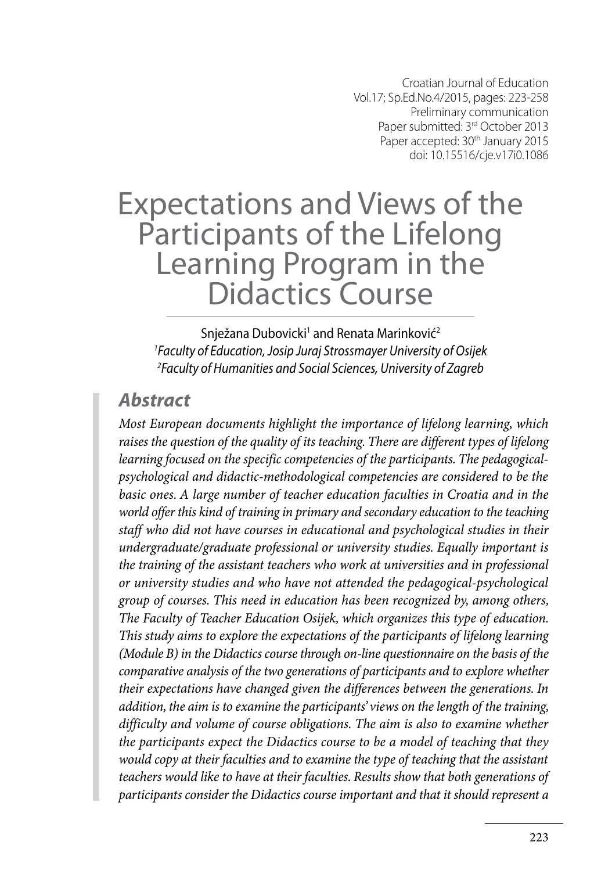Croatian Journal of Education Vol.17; Sp.Ed.No.4/2015, pages: 223-258 Preliminary communication Paper submitted: 3<sup>rd</sup> October 2013 Paper accepted: 30<sup>th</sup> January 2015 doi: 10.15516/cje.v17i0.1086

# Expectations and Views of the Participants of the Lifelong Learning Program in the Didactics Course

Snježana Dubovicki<sup>1</sup> and Renata Marinković<sup>2</sup> *1 Faculty of Education, Josip Juraj Strossmayer University of Osijek 2 Faculty of Humanities and Social Sciences, University of Zagreb*

### *Abstract*

*Most European documents highlight the importance of lifelong learning, which raises the question of the quality of its teaching. There are different types of lifelong learning focused on the specific competencies of the participants. The pedagogicalpsychological and didactic-methodological competencies are considered to be the basic ones. A large number of teacher education faculties in Croatia and in the world offer this kind of training in primary and secondary education to the teaching staff who did not have courses in educational and psychological studies in their undergraduate/graduate professional or university studies. Equally important is the training of the assistant teachers who work at universities and in professional or university studies and who have not attended the pedagogical-psychological group of courses. This need in education has been recognized by, among others, The Faculty of Teacher Education Osijek, which organizes this type of education. This study aims to explore the expectations of the participants of lifelong learning (Module B) in the Didactics course through on-line questionnaire on the basis of the comparative analysis of the two generations of participants and to explore whether their expectations have changed given the differences between the generations. In addition, the aim is to examine the participants' views on the length of the training, difficulty and volume of course obligations. The aim is also to examine whether the participants expect the Didactics course to be a model of teaching that they would copy at their faculties and to examine the type of teaching that the assistant teachers would like to have at their faculties. Results show that both generations of participants consider the Didactics course important and that it should represent a*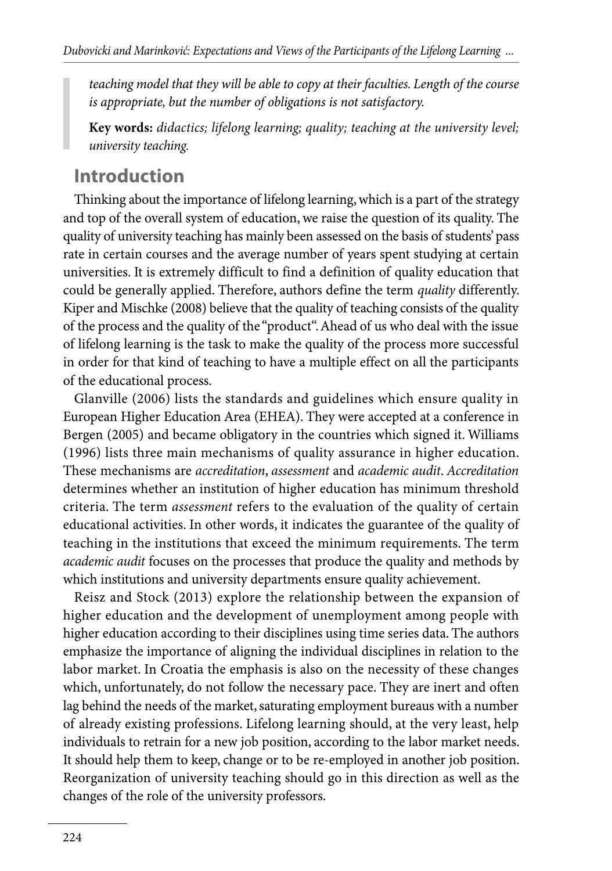*teaching model that they will be able to copy at their faculties. Length of the course is appropriate, but the number of obligations is not satisfactory.* 

**Key words:** *didactics; lifelong learning; quality; teaching at the university level; university teaching.*

## **Introduction**

Thinking about the importance of lifelong learning, which is a part of the strategy and top of the overall system of education, we raise the question of its quality. The quality of university teaching has mainly been assessed on the basis of students' pass rate in certain courses and the average number of years spent studying at certain universities. It is extremely difficult to find a definition of quality education that could be generally applied. Therefore, authors define the term *quality* differently. Kiper and Mischke (2008) believe that the quality of teaching consists of the quality of the process and the quality of the "product". Ahead of us who deal with the issue of lifelong learning is the task to make the quality of the process more successful in order for that kind of teaching to have a multiple effect on all the participants of the educational process.

Glanville (2006) lists the standards and guidelines which ensure quality in European Higher Education Area (EHEA). They were accepted at a conference in Bergen (2005) and became obligatory in the countries which signed it. Williams (1996) lists three main mechanisms of quality assurance in higher education. These mechanisms are *accreditation*, *assessment* and *academic audit*. *Accreditation* determines whether an institution of higher education has minimum threshold criteria. The term *assessment* refers to the evaluation of the quality of certain educational activities. In other words, it indicates the guarantee of the quality of teaching in the institutions that exceed the minimum requirements. The term *academic audit* focuses on the processes that produce the quality and methods by which institutions and university departments ensure quality achievement.

Reisz and Stock (2013) explore the relationship between the expansion of higher education and the development of unemployment among people with higher education according to their disciplines using time series data. The authors emphasize the importance of aligning the individual disciplines in relation to the labor market. In Croatia the emphasis is also on the necessity of these changes which, unfortunately, do not follow the necessary pace. They are inert and often lag behind the needs of the market, saturating employment bureaus with a number of already existing professions. Lifelong learning should, at the very least, help individuals to retrain for a new job position, according to the labor market needs. It should help them to keep, change or to be re-employed in another job position. Reorganization of university teaching should go in this direction as well as the changes of the role of the university professors.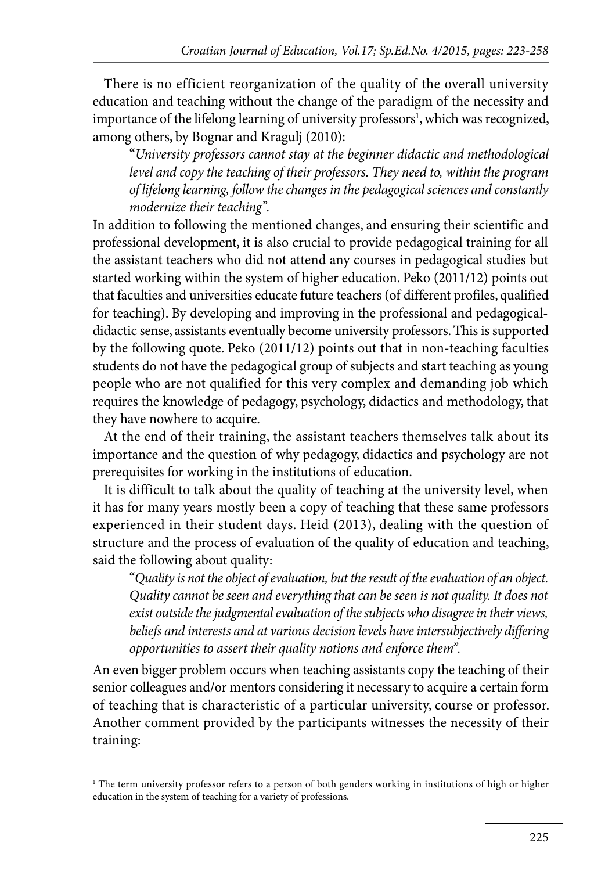There is no efficient reorganization of the quality of the overall university education and teaching without the change of the paradigm of the necessity and importance of the lifelong learning of university professors<sup>1</sup>, which was recognized, among others, by Bognar and Kragulj (2010):

"*University professors cannot stay at the beginner didactic and methodological level and copy the teaching of their professors. They need to, within the program of lifelong learning, follow the changes in the pedagogical sciences and constantly modernize their teaching".*

In addition to following the mentioned changes, and ensuring their scientific and professional development, it is also crucial to provide pedagogical training for all the assistant teachers who did not attend any courses in pedagogical studies but started working within the system of higher education. Peko (2011/12) points out that faculties and universities educate future teachers (of different profiles, qualified for teaching). By developing and improving in the professional and pedagogicaldidactic sense, assistants eventually become university professors. This is supported by the following quote. Peko (2011/12) points out that in non-teaching faculties students do not have the pedagogical group of subjects and start teaching as young people who are not qualified for this very complex and demanding job which requires the knowledge of pedagogy, psychology, didactics and methodology, that they have nowhere to acquire.

At the end of their training, the assistant teachers themselves talk about its importance and the question of why pedagogy, didactics and psychology are not prerequisites for working in the institutions of education.

It is difficult to talk about the quality of teaching at the university level, when it has for many years mostly been a copy of teaching that these same professors experienced in their student days. Heid (2013), dealing with the question of structure and the process of evaluation of the quality of education and teaching, said the following about quality:

"*Quality is not the object of evaluation, but the result of the evaluation of an object. Quality cannot be seen and everything that can be seen is not quality. It does not exist outside the judgmental evaluation of the subjects who disagree in their views, beliefs and interests and at various decision levels have intersubjectively differing opportunities to assert their quality notions and enforce them".* 

An even bigger problem occurs when teaching assistants copy the teaching of their senior colleagues and/or mentors considering it necessary to acquire a certain form of teaching that is characteristic of a particular university, course or professor. Another comment provided by the participants witnesses the necessity of their training:

<sup>1</sup> The term university professor refers to a person of both genders working in institutions of high or higher education in the system of teaching for a variety of professions.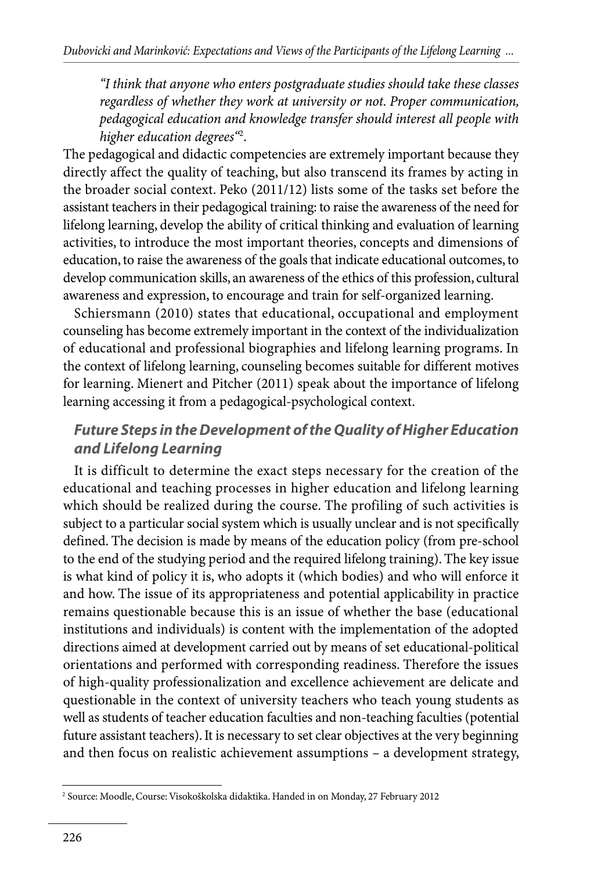*"I think that anyone who enters postgraduate studies should take these classes regardless of whether they work at university or not. Proper communication, pedagogical education and knowledge transfer should interest all people with higher education degrees"*<sup>2</sup> .

The pedagogical and didactic competencies are extremely important because they directly affect the quality of teaching, but also transcend its frames by acting in the broader social context. Peko (2011/12) lists some of the tasks set before the assistant teachers in their pedagogical training: to raise the awareness of the need for lifelong learning, develop the ability of critical thinking and evaluation of learning activities, to introduce the most important theories, concepts and dimensions of education, to raise the awareness of the goals that indicate educational outcomes, to develop communication skills, an awareness of the ethics of this profession, cultural awareness and expression, to encourage and train for self-organized learning.

Schiersmann (2010) states that educational, occupational and employment counseling has become extremely important in the context of the individualization of educational and professional biographies and lifelong learning programs. In the context of lifelong learning, counseling becomes suitable for different motives for learning. Mienert and Pitcher (2011) speak about the importance of lifelong learning accessing it from a pedagogical-psychological context.

### *Future Steps in the Development of the Quality of Higher Education and Lifelong Learning*

It is difficult to determine the exact steps necessary for the creation of the educational and teaching processes in higher education and lifelong learning which should be realized during the course. The profiling of such activities is subject to a particular social system which is usually unclear and is not specifically defined. The decision is made by means of the education policy (from pre-school to the end of the studying period and the required lifelong training). The key issue is what kind of policy it is, who adopts it (which bodies) and who will enforce it and how. The issue of its appropriateness and potential applicability in practice remains questionable because this is an issue of whether the base (educational institutions and individuals) is content with the implementation of the adopted directions aimed at development carried out by means of set educational-political orientations and performed with corresponding readiness. Therefore the issues of high-quality professionalization and excellence achievement are delicate and questionable in the context of university teachers who teach young students as well as students of teacher education faculties and non-teaching faculties (potential future assistant teachers). It is necessary to set clear objectives at the very beginning and then focus on realistic achievement assumptions – a development strategy,

<sup>2</sup> Source: Moodle, Course: Visokoškolska didaktika. Handed in on Monday, 27 February 2012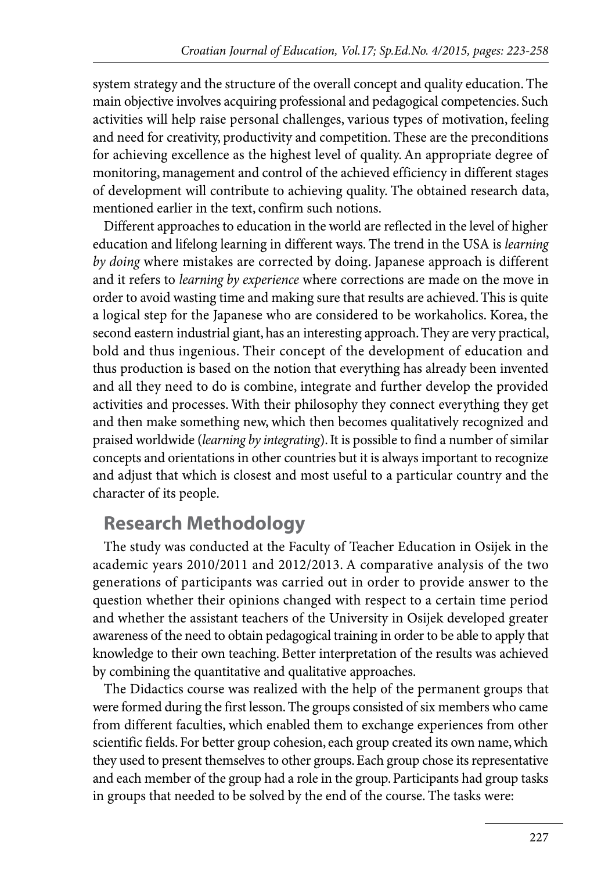system strategy and the structure of the overall concept and quality education. The main objective involves acquiring professional and pedagogical competencies. Such activities will help raise personal challenges, various types of motivation, feeling and need for creativity, productivity and competition. These are the preconditions for achieving excellence as the highest level of quality. An appropriate degree of monitoring, management and control of the achieved efficiency in different stages of development will contribute to achieving quality. The obtained research data, mentioned earlier in the text, confirm such notions.

Different approaches to education in the world are reflected in the level of higher education and lifelong learning in different ways. The trend in the USA is *learning by doing* where mistakes are corrected by doing. Japanese approach is different and it refers to *learning by experience* where corrections are made on the move in order to avoid wasting time and making sure that results are achieved. This is quite a logical step for the Japanese who are considered to be workaholics. Korea, the second eastern industrial giant, has an interesting approach. They are very practical, bold and thus ingenious. Their concept of the development of education and thus production is based on the notion that everything has already been invented and all they need to do is combine, integrate and further develop the provided activities and processes. With their philosophy they connect everything they get and then make something new, which then becomes qualitatively recognized and praised worldwide (*learning by integrating*). It is possible to find a number of similar concepts and orientations in other countries but it is always important to recognize and adjust that which is closest and most useful to a particular country and the character of its people.

## **Research Methodology**

The study was conducted at the Faculty of Teacher Education in Osijek in the academic years 2010/2011 and 2012/2013. A comparative analysis of the two generations of participants was carried out in order to provide answer to the question whether their opinions changed with respect to a certain time period and whether the assistant teachers of the University in Osijek developed greater awareness of the need to obtain pedagogical training in order to be able to apply that knowledge to their own teaching. Better interpretation of the results was achieved by combining the quantitative and qualitative approaches.

The Didactics course was realized with the help of the permanent groups that were formed during the first lesson. The groups consisted of six members who came from different faculties, which enabled them to exchange experiences from other scientific fields. For better group cohesion, each group created its own name, which they used to present themselves to other groups. Each group chose its representative and each member of the group had a role in the group. Participants had group tasks in groups that needed to be solved by the end of the course. The tasks were: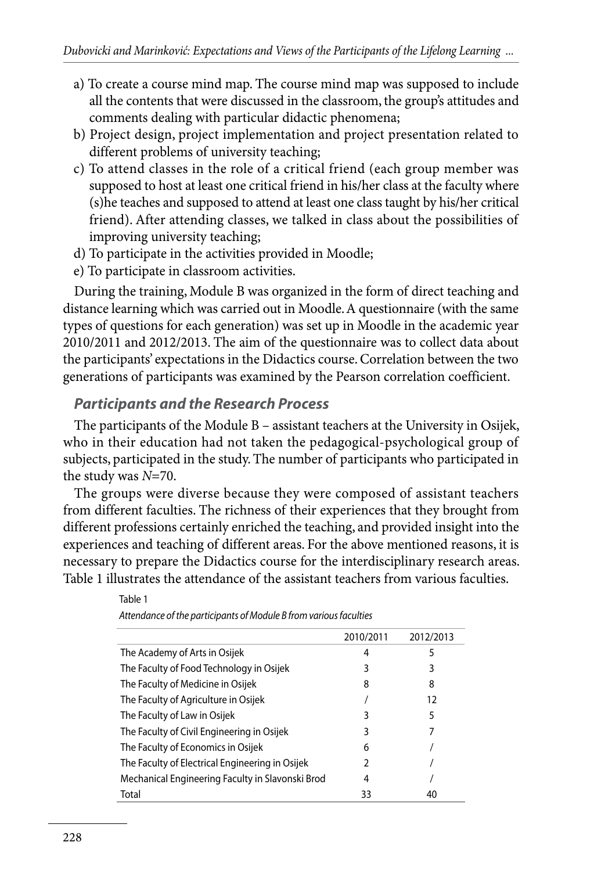- a) To create a course mind map. The course mind map was supposed to include all the contents that were discussed in the classroom, the group's attitudes and comments dealing with particular didactic phenomena;
- b) Project design, project implementation and project presentation related to different problems of university teaching;
- c) To attend classes in the role of a critical friend (each group member was supposed to host at least one critical friend in his/her class at the faculty where (s)he teaches and supposed to attend at least one class taught by his/her critical friend). After attending classes, we talked in class about the possibilities of improving university teaching;
- d) To participate in the activities provided in Moodle;
- e) To participate in classroom activities.

During the training, Module B was organized in the form of direct teaching and distance learning which was carried out in Moodle. A questionnaire (with the same types of questions for each generation) was set up in Moodle in the academic year 2010/2011 and 2012/2013. The aim of the questionnaire was to collect data about the participants' expectations in the Didactics course. Correlation between the two generations of participants was examined by the Pearson correlation coefficient.

### *Participants and the Research Process*

The participants of the Module B – assistant teachers at the University in Osijek, who in their education had not taken the pedagogical-psychological group of subjects, participated in the study. The number of participants who participated in the study was *N*=70.

The groups were diverse because they were composed of assistant teachers from different faculties. The richness of their experiences that they brought from different professions certainly enriched the teaching, and provided insight into the experiences and teaching of different areas. For the above mentioned reasons, it is necessary to prepare the Didactics course for the interdisciplinary research areas. Table 1 illustrates the attendance of the assistant teachers from various faculties.

|                                                  | 2010/2011 | 2012/2013 |
|--------------------------------------------------|-----------|-----------|
| The Academy of Arts in Osijek                    | 4         | 5         |
| The Faculty of Food Technology in Osijek         | 3         | 3         |
| The Faculty of Medicine in Osijek                | 8         | 8         |
| The Faculty of Agriculture in Osijek             |           | 12        |
| The Faculty of Law in Osijek                     | ٦         | 5         |
| The Faculty of Civil Engineering in Osijek       | 3         |           |
| The Faculty of Economics in Osijek               | 6         |           |
| The Faculty of Electrical Engineering in Osijek  | 2         |           |
| Mechanical Engineering Faculty in Slavonski Brod | 4         |           |
| Total                                            | 33        | 40        |

Table 1 *Attendance of the participants of Module B from various faculties*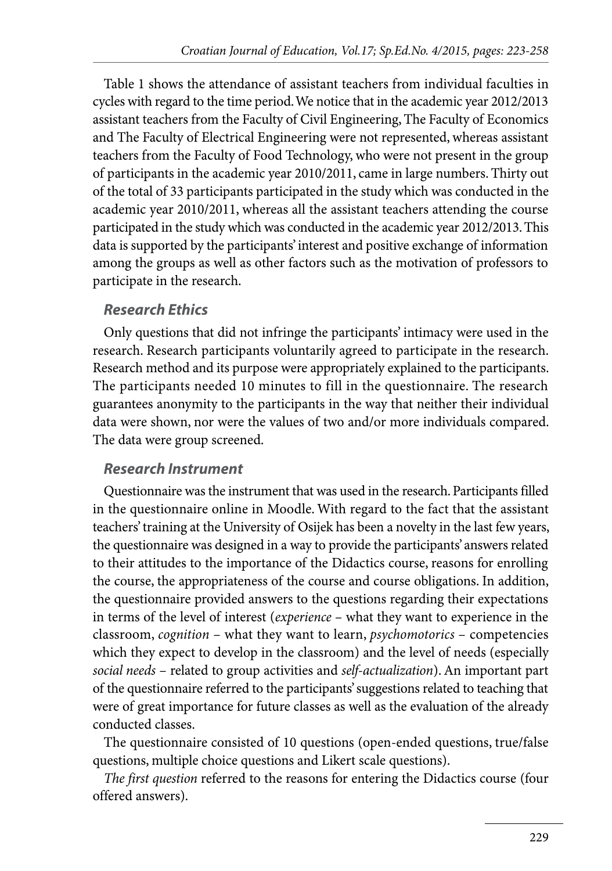Table 1 shows the attendance of assistant teachers from individual faculties in cycles with regard to the time period. We notice that in the academic year 2012/2013 assistant teachers from the Faculty of Civil Engineering, The Faculty of Economics and The Faculty of Electrical Engineering were not represented, whereas assistant teachers from the Faculty of Food Technology, who were not present in the group of participants in the academic year 2010/2011, came in large numbers. Thirty out of the total of 33 participants participated in the study which was conducted in the academic year 2010/2011, whereas all the assistant teachers attending the course participated in the study which was conducted in the academic year 2012/2013. This data is supported by the participants' interest and positive exchange of information among the groups as well as other factors such as the motivation of professors to participate in the research.

#### *Research Ethics*

Only questions that did not infringe the participants' intimacy were used in the research. Research participants voluntarily agreed to participate in the research. Research method and its purpose were appropriately explained to the participants. The participants needed 10 minutes to fill in the questionnaire. The research guarantees anonymity to the participants in the way that neither their individual data were shown, nor were the values of two and/or more individuals compared. The data were group screened.

### *Research Instrument*

Questionnaire was the instrument that was used in the research. Participants filled in the questionnaire online in Moodle. With regard to the fact that the assistant teachers' training at the University of Osijek has been a novelty in the last few years, the questionnaire was designed in a way to provide the participants' answers related to their attitudes to the importance of the Didactics course, reasons for enrolling the course, the appropriateness of the course and course obligations. In addition, the questionnaire provided answers to the questions regarding their expectations in terms of the level of interest (*experience* – what they want to experience in the classroom, *cognition* – what they want to learn, *psychomotorics* – competencies which they expect to develop in the classroom) and the level of needs (especially *social needs* – related to group activities and *self-actualization*). An important part of the questionnaire referred to the participants' suggestions related to teaching that were of great importance for future classes as well as the evaluation of the already conducted classes.

The questionnaire consisted of 10 questions (open-ended questions, true/false questions, multiple choice questions and Likert scale questions).

*The first question* referred to the reasons for entering the Didactics course (four offered answers).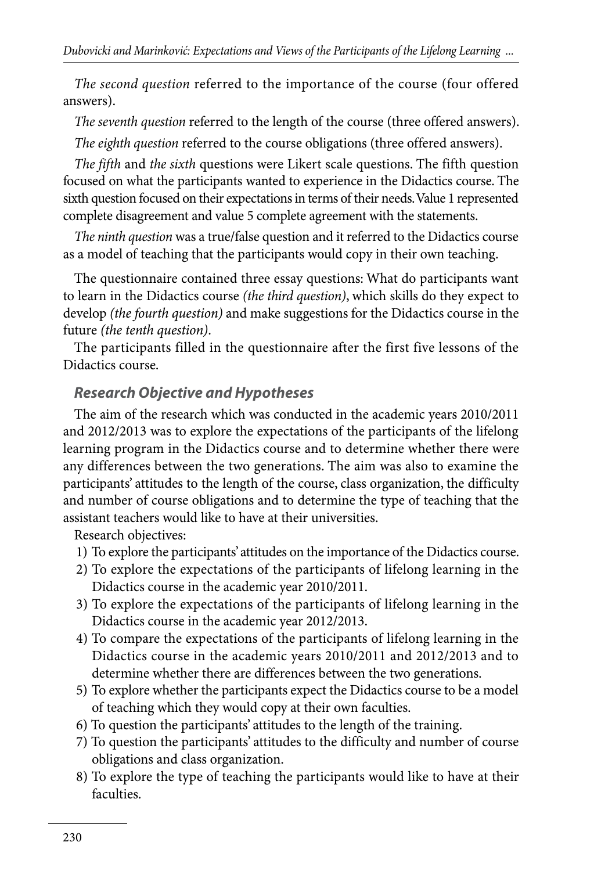*The second question* referred to the importance of the course (four offered answers).

*The seventh question* referred to the length of the course (three offered answers).

*The eighth question* referred to the course obligations (three offered answers).

*The fifth* and *the sixth* questions were Likert scale questions. The fifth question focused on what the participants wanted to experience in the Didactics course. The sixth question focused on their expectations in terms of their needs. Value 1 represented complete disagreement and value 5 complete agreement with the statements.

*The ninth question* was a true/false question and it referred to the Didactics course as a model of teaching that the participants would copy in their own teaching.

The questionnaire contained three essay questions: What do participants want to learn in the Didactics course *(the third question)*, which skills do they expect to develop *(the fourth question)* and make suggestions for the Didactics course in the future *(the tenth question)*.

The participants filled in the questionnaire after the first five lessons of the Didactics course.

### *Research Objective and Hypotheses*

The aim of the research which was conducted in the academic years 2010/2011 and 2012/2013 was to explore the expectations of the participants of the lifelong learning program in the Didactics course and to determine whether there were any differences between the two generations. The aim was also to examine the participants' attitudes to the length of the course, class organization, the difficulty and number of course obligations and to determine the type of teaching that the assistant teachers would like to have at their universities.

Research objectives:

- 1) To explore the participants' attitudes on the importance of the Didactics course.
- 2) To explore the expectations of the participants of lifelong learning in the Didactics course in the academic year 2010/2011.
- 3) To explore the expectations of the participants of lifelong learning in the Didactics course in the academic year 2012/2013.
- 4) To compare the expectations of the participants of lifelong learning in the Didactics course in the academic years 2010/2011 and 2012/2013 and to determine whether there are differences between the two generations.
- 5) To explore whether the participants expect the Didactics course to be a model of teaching which they would copy at their own faculties.
- 6) To question the participants' attitudes to the length of the training.
- 7) To question the participants' attitudes to the difficulty and number of course obligations and class organization.
- 8) To explore the type of teaching the participants would like to have at their faculties.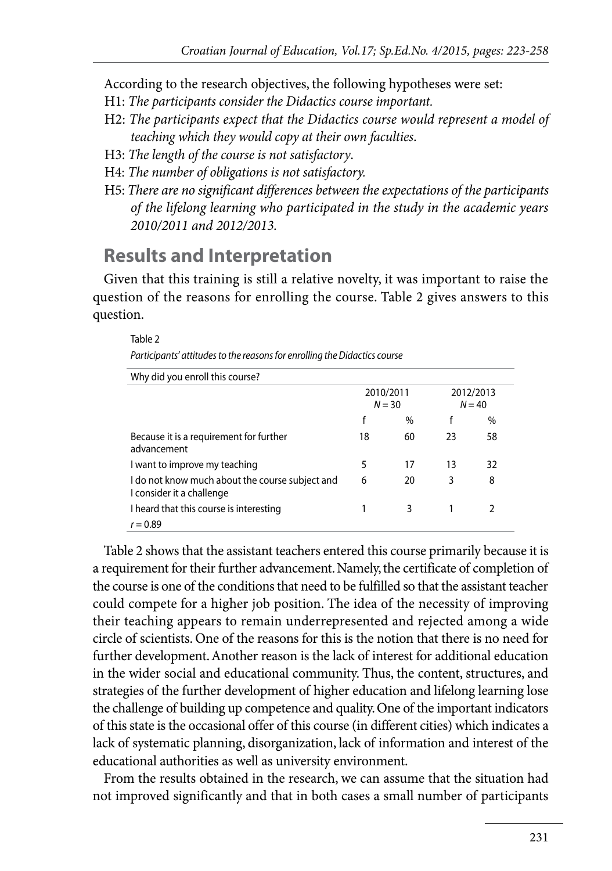According to the research objectives, the following hypotheses were set:

- H1: *The participants consider the Didactics course important.*
- H2: *The participants expect that the Didactics course would represent a model of teaching which they would copy at their own faculties*.
- H3: *The length of the course is not satisfactory*.
- H4: *The number of obligations is not satisfactory.*
- H5: *There are no significant differences between the expectations of the participants of the lifelong learning who participated in the study in the academic years 2010/2011 and 2012/2013.*

### **Results and Interpretation**

Table 2

Given that this training is still a relative novelty, it was important to raise the question of the reasons for enrolling the course. Table 2 gives answers to this question.

| Participants' attitudes to the reasons for enrolling the Didactics course    |                       |      |                       |      |  |  |
|------------------------------------------------------------------------------|-----------------------|------|-----------------------|------|--|--|
| Why did you enroll this course?                                              |                       |      |                       |      |  |  |
|                                                                              | 2010/2011<br>$N = 30$ |      | 2012/2013<br>$N = 40$ |      |  |  |
|                                                                              | f                     | $\%$ | f                     | $\%$ |  |  |
| Because it is a requirement for further<br>advancement                       | 18                    | 60   | 23                    | 58   |  |  |
| I want to improve my teaching                                                | 5                     | 17   | 13                    | 32   |  |  |
| I do not know much about the course subject and<br>I consider it a challenge | 6                     | 20   | 3                     | 8    |  |  |
| I heard that this course is interesting                                      |                       | 3    |                       |      |  |  |
| $r = 0.89$                                                                   |                       |      |                       |      |  |  |

Table 2 shows that the assistant teachers entered this course primarily because it is a requirement for their further advancement. Namely, the certificate of completion of the course is one of the conditions that need to be fulfilled so that the assistant teacher could compete for a higher job position. The idea of the necessity of improving their teaching appears to remain underrepresented and rejected among a wide circle of scientists. One of the reasons for this is the notion that there is no need for further development. Another reason is the lack of interest for additional education in the wider social and educational community. Thus, the content, structures, and strategies of the further development of higher education and lifelong learning lose the challenge of building up competence and quality. One of the important indicators of this state is the occasional offer of this course (in different cities) which indicates a lack of systematic planning, disorganization, lack of information and interest of the educational authorities as well as university environment.

From the results obtained in the research, we can assume that the situation had not improved significantly and that in both cases a small number of participants

231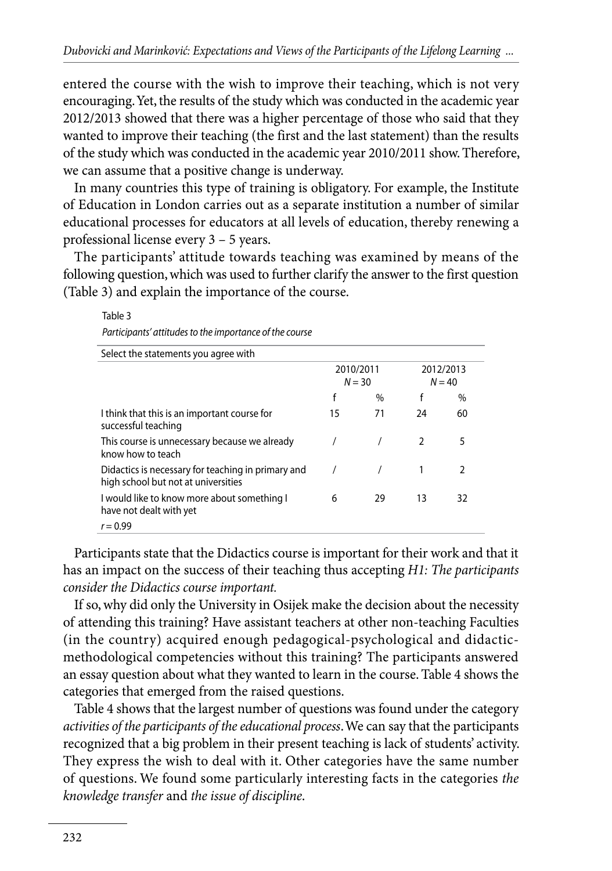entered the course with the wish to improve their teaching, which is not very encouraging. Yet, the results of the study which was conducted in the academic year 2012/2013 showed that there was a higher percentage of those who said that they wanted to improve their teaching (the first and the last statement) than the results of the study which was conducted in the academic year 2010/2011 show. Therefore, we can assume that a positive change is underway.

In many countries this type of training is obligatory. For example, the Institute of Education in London carries out as a separate institution a number of similar educational processes for educators at all levels of education, thereby renewing a professional license every 3 – 5 years.

The participants' attitude towards teaching was examined by means of the following question, which was used to further clarify the answer to the first question (Table 3) and explain the importance of the course.

*Participants' attitudes to the importance of the course* 

Table 3

| Select the statements you agree with                                                      |                       |      |                       |      |  |
|-------------------------------------------------------------------------------------------|-----------------------|------|-----------------------|------|--|
|                                                                                           | 2010/2011<br>$N = 30$ |      | 2012/2013<br>$N = 40$ |      |  |
|                                                                                           | f                     | $\%$ | f                     | $\%$ |  |
| I think that this is an important course for<br>successful teaching                       | 15                    | 71   | 24                    | 60   |  |
| This course is unnecessary because we already<br>know how to teach                        |                       |      | 2                     | 5    |  |
| Didactics is necessary for teaching in primary and<br>high school but not at universities |                       |      |                       | 2    |  |
| I would like to know more about something I<br>have not dealt with yet                    | 6                     | 29   | 13                    | 32   |  |
| $r = 0.99$                                                                                |                       |      |                       |      |  |

Participants state that the Didactics course is important for their work and that it has an impact on the success of their teaching thus accepting *H1: The participants consider the Didactics course important.*

If so, why did only the University in Osijek make the decision about the necessity of attending this training? Have assistant teachers at other non-teaching Faculties (in the country) acquired enough pedagogical-psychological and didacticmethodological competencies without this training? The participants answered an essay question about what they wanted to learn in the course. Table 4 shows the categories that emerged from the raised questions.

Table 4 shows that the largest number of questions was found under the category *activities of the participants of the educational process*. We can say that the participants recognized that a big problem in their present teaching is lack of students' activity. They express the wish to deal with it. Other categories have the same number of questions. We found some particularly interesting facts in the categories *the knowledge transfer* and *the issue of discipline*.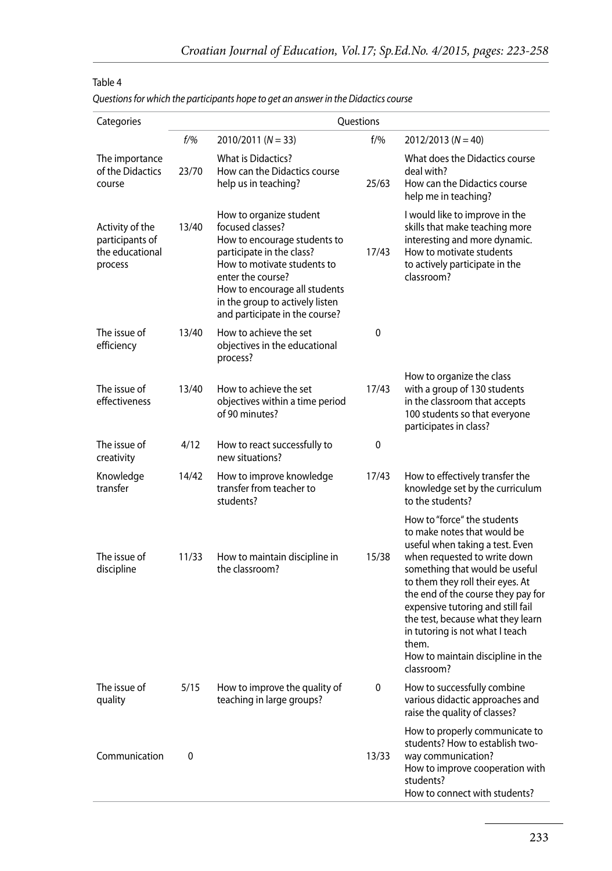| Categories                                                       | Questions |                                                                                                                                                                                                                                                                    |       |                                                                                                                                                                                                                                                                                                                                                                                                                    |  |
|------------------------------------------------------------------|-----------|--------------------------------------------------------------------------------------------------------------------------------------------------------------------------------------------------------------------------------------------------------------------|-------|--------------------------------------------------------------------------------------------------------------------------------------------------------------------------------------------------------------------------------------------------------------------------------------------------------------------------------------------------------------------------------------------------------------------|--|
|                                                                  | f/9/6     | $2010/2011 (N = 33)$                                                                                                                                                                                                                                               | f/9/6 | $2012/2013 (N = 40)$                                                                                                                                                                                                                                                                                                                                                                                               |  |
| The importance<br>of the Didactics<br>course                     | 23/70     | <b>What is Didactics?</b><br>How can the Didactics course<br>help us in teaching?                                                                                                                                                                                  | 25/63 | What does the Didactics course<br>deal with?<br>How can the Didactics course<br>help me in teaching?                                                                                                                                                                                                                                                                                                               |  |
| Activity of the<br>participants of<br>the educational<br>process | 13/40     | How to organize student<br>focused classes?<br>How to encourage students to<br>participate in the class?<br>How to motivate students to<br>enter the course?<br>How to encourage all students<br>in the group to actively listen<br>and participate in the course? | 17/43 | I would like to improve in the<br>skills that make teaching more<br>interesting and more dynamic.<br>How to motivate students<br>to actively participate in the<br>classroom?                                                                                                                                                                                                                                      |  |
| The issue of<br>efficiency                                       | 13/40     | How to achieve the set<br>objectives in the educational<br>process?                                                                                                                                                                                                | 0     |                                                                                                                                                                                                                                                                                                                                                                                                                    |  |
| The issue of<br>effectiveness                                    | 13/40     | How to achieve the set<br>objectives within a time period<br>of 90 minutes?                                                                                                                                                                                        | 17/43 | How to organize the class<br>with a group of 130 students<br>in the classroom that accepts<br>100 students so that everyone<br>participates in class?                                                                                                                                                                                                                                                              |  |
| The issue of<br>creativity                                       | 4/12      | How to react successfully to<br>new situations?                                                                                                                                                                                                                    | 0     |                                                                                                                                                                                                                                                                                                                                                                                                                    |  |
| Knowledge<br>transfer                                            | 14/42     | How to improve knowledge<br>transfer from teacher to<br>students?                                                                                                                                                                                                  | 17/43 | How to effectively transfer the<br>knowledge set by the curriculum<br>to the students?                                                                                                                                                                                                                                                                                                                             |  |
| The issue of<br>discipline                                       | 11/33     | How to maintain discipline in<br>the classroom?                                                                                                                                                                                                                    | 15/38 | How to "force" the students<br>to make notes that would be<br>useful when taking a test. Even<br>when requested to write down<br>something that would be useful<br>to them they roll their eyes. At<br>the end of the course they pay for<br>expensive tutoring and still fail<br>the test, because what they learn<br>in tutoring is not what I teach<br>them.<br>How to maintain discipline in the<br>classroom? |  |
| The issue of<br>quality                                          | 5/15      | How to improve the quality of<br>teaching in large groups?                                                                                                                                                                                                         | 0     | How to successfully combine<br>various didactic approaches and<br>raise the quality of classes?                                                                                                                                                                                                                                                                                                                    |  |
| Communication                                                    | 0         |                                                                                                                                                                                                                                                                    | 13/33 | How to properly communicate to<br>students? How to establish two-<br>way communication?<br>How to improve cooperation with<br>students?<br>How to connect with students?                                                                                                                                                                                                                                           |  |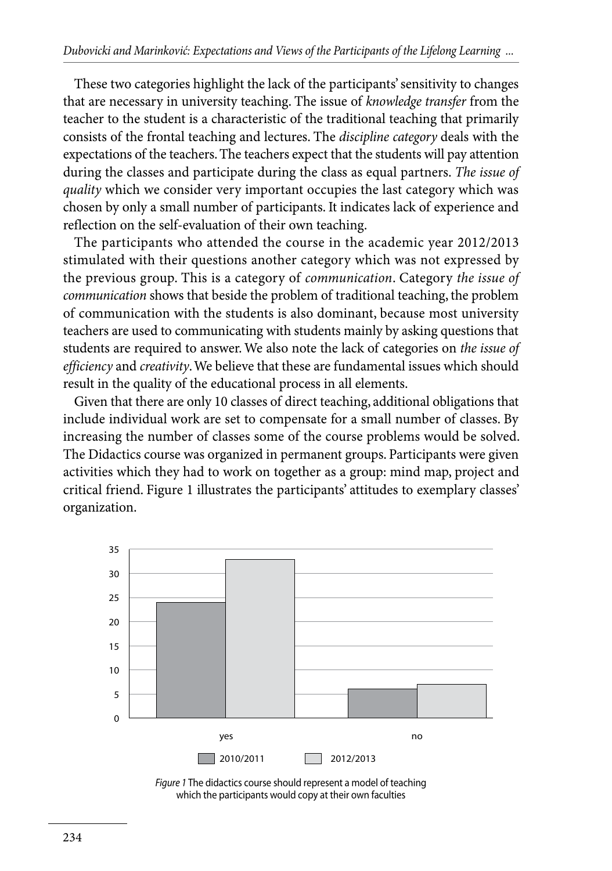These two categories highlight the lack of the participants' sensitivity to changes that are necessary in university teaching. The issue of *knowledge transfer* from the teacher to the student is a characteristic of the traditional teaching that primarily consists of the frontal teaching and lectures. The *discipline category* deals with the expectations of the teachers. The teachers expect that the students will pay attention during the classes and participate during the class as equal partners. *The issue of quality* which we consider very important occupies the last category which was chosen by only a small number of participants. It indicates lack of experience and reflection on the self-evaluation of their own teaching.

The participants who attended the course in the academic year 2012/2013 stimulated with their questions another category which was not expressed by the previous group. This is a category of *communication*. Category *the issue of communication* shows that beside the problem of traditional teaching, the problem of communication with the students is also dominant, because most university teachers are used to communicating with students mainly by asking questions that students are required to answer. We also note the lack of categories on *the issue of efficiency* and *creativity*. We believe that these are fundamental issues which should result in the quality of the educational process in all elements.

Given that there are only 10 classes of direct teaching, additional obligations that include individual work are set to compensate for a small number of classes. By increasing the number of classes some of the course problems would be solved. The Didactics course was organized in permanent groups. Participants were given activities which they had to work on together as a group: mind map, project and critical friend. Figure 1 illustrates the participants' attitudes to exemplary classes' organization.



*Figure 1* The didactics course should represent a model of teaching which the participants would copy at their own faculties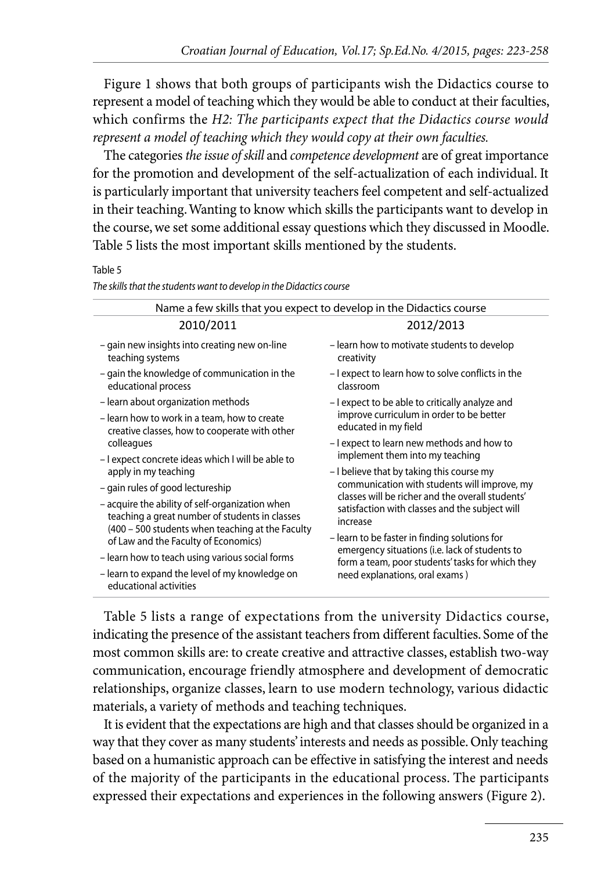Figure 1 shows that both groups of participants wish the Didactics course to represent a model of teaching which they would be able to conduct at their faculties, which confirms the *H2: The participants expect that the Didactics course would represent a model of teaching which they would copy at their own faculties.*

The categories *the issue of skill* and *competence development* are of great importance for the promotion and development of the self-actualization of each individual. It is particularly important that university teachers feel competent and self-actualized in their teaching. Wanting to know which skills the participants want to develop in the course, we set some additional essay questions which they discussed in Moodle. Table 5 lists the most important skills mentioned by the students.

#### Table 5

*The skills that the students want to develop in the Didactics course*

| Name a few skills that you expect to develop in the Didactics course                                                                                  |                                                                                                    |  |  |  |
|-------------------------------------------------------------------------------------------------------------------------------------------------------|----------------------------------------------------------------------------------------------------|--|--|--|
| 2010/2011                                                                                                                                             | 2012/2013                                                                                          |  |  |  |
| - gain new insights into creating new on-line<br>teaching systems                                                                                     | - learn how to motivate students to develop<br>creativity                                          |  |  |  |
| - gain the knowledge of communication in the<br>educational process                                                                                   | - I expect to learn how to solve conflicts in the<br>classroom                                     |  |  |  |
| - learn about organization methods                                                                                                                    | - I expect to be able to critically analyze and                                                    |  |  |  |
| - learn how to work in a team, how to create<br>creative classes, how to cooperate with other                                                         | improve curriculum in order to be better<br>educated in my field                                   |  |  |  |
| colleagues                                                                                                                                            | - I expect to learn new methods and how to<br>implement them into my teaching                      |  |  |  |
| - I expect concrete ideas which I will be able to                                                                                                     |                                                                                                    |  |  |  |
| apply in my teaching                                                                                                                                  | - I believe that by taking this course my                                                          |  |  |  |
| - gain rules of good lectureship                                                                                                                      | communication with students will improve, my<br>classes will be richer and the overall students'   |  |  |  |
| - acquire the ability of self-organization when<br>teaching a great number of students in classes<br>(400 – 500 students when teaching at the Faculty | satisfaction with classes and the subject will<br>increase                                         |  |  |  |
| of Law and the Faculty of Economics)                                                                                                                  | - learn to be faster in finding solutions for                                                      |  |  |  |
| - learn how to teach using various social forms                                                                                                       | emergency situations (i.e. lack of students to<br>form a team, poor students' tasks for which they |  |  |  |
| - learn to expand the level of my knowledge on<br>educational activities                                                                              | need explanations, oral exams)                                                                     |  |  |  |

Table 5 lists a range of expectations from the university Didactics course, indicating the presence of the assistant teachers from different faculties. Some of the most common skills are: to create creative and attractive classes, establish two-way communication, encourage friendly atmosphere and development of democratic relationships, organize classes, learn to use modern technology, various didactic materials, a variety of methods and teaching techniques.

It is evident that the expectations are high and that classes should be organized in a way that they cover as many students' interests and needs as possible. Only teaching based on a humanistic approach can be effective in satisfying the interest and needs of the majority of the participants in the educational process. The participants expressed their expectations and experiences in the following answers (Figure 2).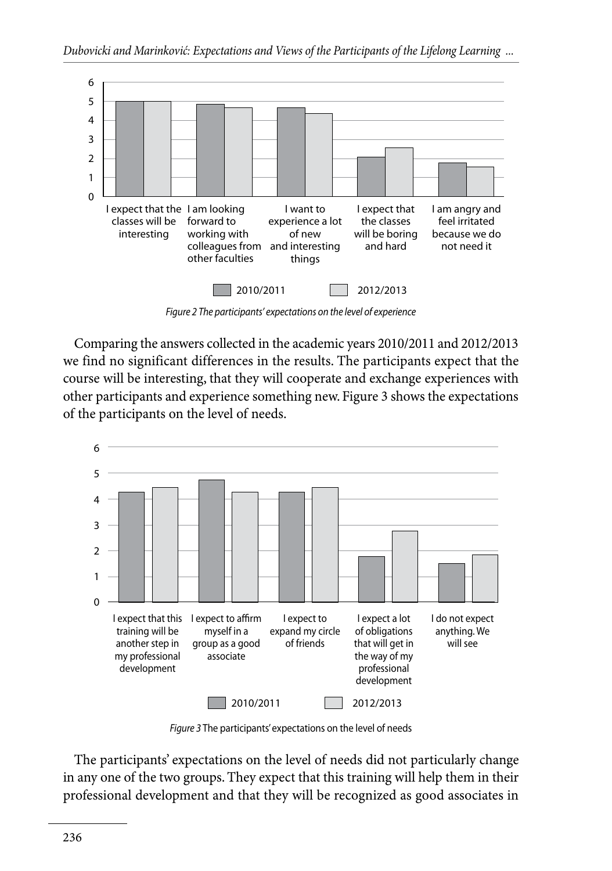

*Figure 2 The participants' expectations on the level of experience*

Comparing the answers collected in the academic years 2010/2011 and 2012/2013 we find no significant differences in the results. The participants expect that the course will be interesting, that they will cooperate and exchange experiences with other participants and experience something new. Figure 3 shows the expectations of the participants on the level of needs.



*Figure 3* The participants' expectations on the level of needs

The participants' expectations on the level of needs did not particularly change in any one of the two groups. They expect that this training will help them in their professional development and that they will be recognized as good associates in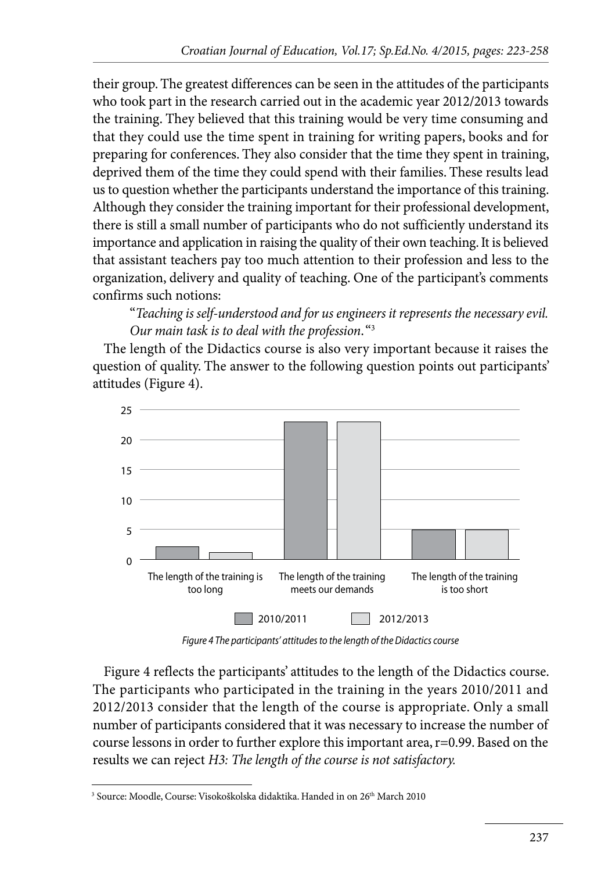their group. The greatest differences can be seen in the attitudes of the participants who took part in the research carried out in the academic year 2012/2013 towards the training. They believed that this training would be very time consuming and that they could use the time spent in training for writing papers, books and for preparing for conferences. They also consider that the time they spent in training, deprived them of the time they could spend with their families. These results lead us to question whether the participants understand the importance of this training. Although they consider the training important for their professional development, there is still a small number of participants who do not sufficiently understand its importance and application in raising the quality of their own teaching. It is believed that assistant teachers pay too much attention to their profession and less to the organization, delivery and quality of teaching. One of the participant's comments confirms such notions:

"*Teaching is self-understood and for us engineers it represents the necessary evil. Our main task is to deal with the profession*. "3

The length of the Didactics course is also very important because it raises the question of quality. The answer to the following question points out participants' attitudes (Figure 4).



*Figure 4 The participants' attitudes to the length of the Didactics course*

Figure 4 reflects the participants' attitudes to the length of the Didactics course. The participants who participated in the training in the years 2010/2011 and 2012/2013 consider that the length of the course is appropriate. Only a small number of participants considered that it was necessary to increase the number of course lessons in order to further explore this important area, r=0.99. Based on the results we can reject *H3: The length of the course is not satisfactory.*

<sup>&</sup>lt;sup>3</sup> Source: Moodle, Course: Visokoškolska didaktika. Handed in on 26<sup>th</sup> March 2010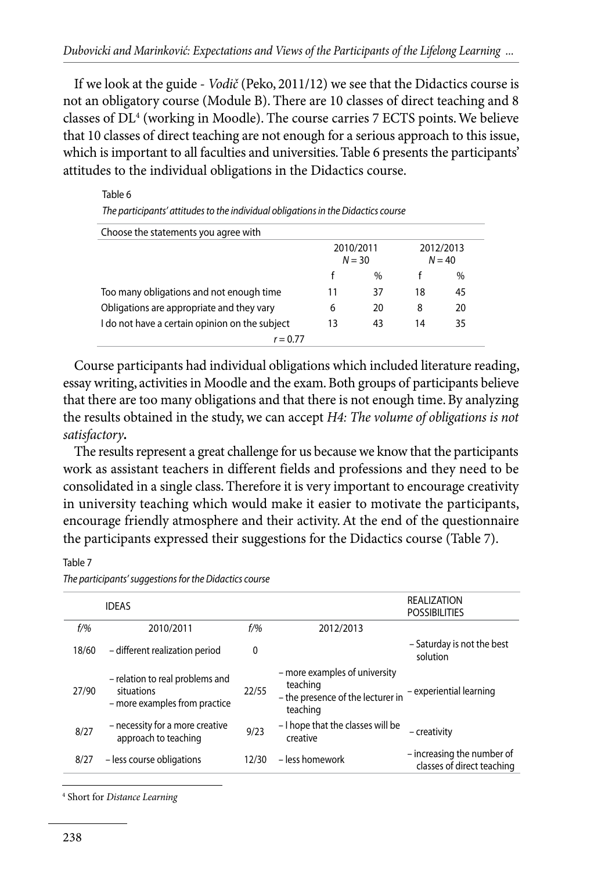If we look at the guide - *Vodič* (Peko, 2011/12) we see that the Didactics course is not an obligatory course (Module B). There are 10 classes of direct teaching and 8 classes of DL4 (working in Moodle). The course carries 7 ECTS points. We believe that 10 classes of direct teaching are not enough for a serious approach to this issue, which is important to all faculties and universities. Table 6 presents the participants' attitudes to the individual obligations in the Didactics course.

| The participants' attitudes to the individual obligations in the Didactics course |                       |               |                       |      |  |  |
|-----------------------------------------------------------------------------------|-----------------------|---------------|-----------------------|------|--|--|
| Choose the statements you agree with                                              |                       |               |                       |      |  |  |
|                                                                                   | 2010/2011<br>$N = 30$ |               | 2012/2013<br>$N = 40$ |      |  |  |
|                                                                                   |                       | $\frac{0}{0}$ |                       | $\%$ |  |  |
| Too many obligations and not enough time                                          | 11                    | 37            | 18                    | 45   |  |  |
| Obligations are appropriate and they vary                                         | 6                     | 20            | 8                     | 20   |  |  |
| I do not have a certain opinion on the subject                                    | 13                    | 43            | 14                    | 35   |  |  |
| $r = 0.77$                                                                        |                       |               |                       |      |  |  |

Course participants had individual obligations which included literature reading, essay writing, activities in Moodle and the exam. Both groups of participants believe that there are too many obligations and that there is not enough time. By analyzing the results obtained in the study, we can accept *H4: The volume of obligations is not satisfactory.* 

The results represent a great challenge for us because we know that the participants work as assistant teachers in different fields and professions and they need to be consolidated in a single class. Therefore it is very important to encourage creativity in university teaching which would make it easier to motivate the participants, encourage friendly atmosphere and their activity. At the end of the questionnaire the participants expressed their suggestions for the Didactics course (Table 7).

Table 7

Table 6

*The participants' suggestions for the Didactics course*

|        | <b>IDEAS</b>                                                                   |        |                                                                                            | REALIZATION<br><b>POSSIBILITIES</b>                      |
|--------|--------------------------------------------------------------------------------|--------|--------------------------------------------------------------------------------------------|----------------------------------------------------------|
| $f$ /% | 2010/2011                                                                      | $f$ /% | 2012/2013                                                                                  |                                                          |
| 18/60  | - different realization period                                                 | 0      |                                                                                            | - Saturday is not the best<br>solution                   |
| 27/90  | - relation to real problems and<br>situations<br>- more examples from practice | 22/55  | - more examples of university<br>teaching<br>- the presence of the lecturer in<br>teaching | - experiential learning                                  |
| 8/27   | - necessity for a more creative<br>approach to teaching                        | 9/23   | - I hope that the classes will be<br>creative                                              | - creativity                                             |
| 8/27   | - less course obligations                                                      | 12/30  | - less homework                                                                            | - increasing the number of<br>classes of direct teaching |

4 Short for *Distance Learning*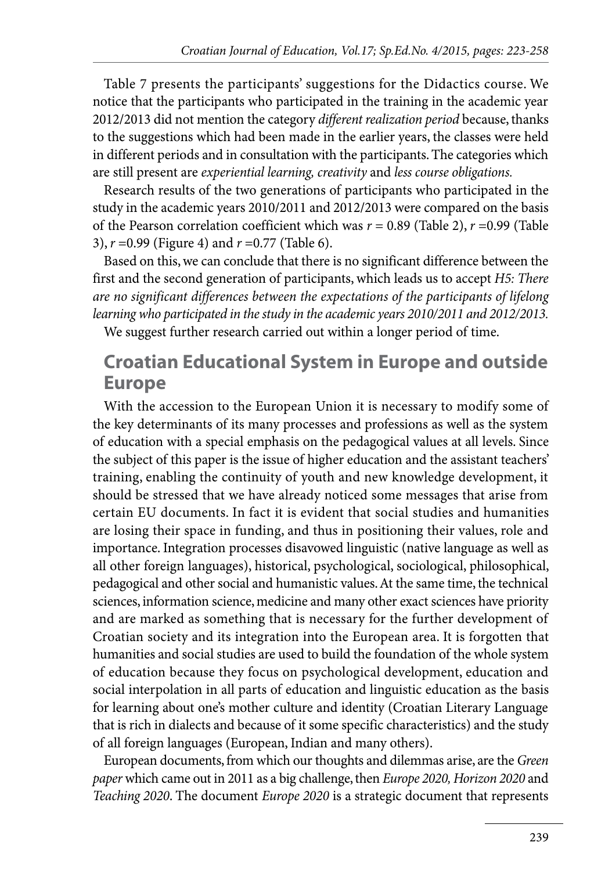Table 7 presents the participants' suggestions for the Didactics course. We notice that the participants who participated in the training in the academic year 2012/2013 did not mention the category *different realization period* because, thanks to the suggestions which had been made in the earlier years, the classes were held in different periods and in consultation with the participants. The categories which are still present are *experiential learning, creativity* and *less course obligations.* 

Research results of the two generations of participants who participated in the study in the academic years 2010/2011 and 2012/2013 were compared on the basis of the Pearson correlation coefficient which was  $r = 0.89$  (Table 2),  $r = 0.99$  (Table 3), *r* =0.99 (Figure 4) and *r* =0.77 (Table 6).

Based on this, we can conclude that there is no significant difference between the first and the second generation of participants, which leads us to accept *H5: There are no significant differences between the expectations of the participants of lifelong learning who participated in the study in the academic years 2010/2011 and 2012/2013.*

We suggest further research carried out within a longer period of time.

### **Croatian Educational System in Europe and outside Europe**

With the accession to the European Union it is necessary to modify some of the key determinants of its many processes and professions as well as the system of education with a special emphasis on the pedagogical values at all levels. Since the subject of this paper is the issue of higher education and the assistant teachers' training, enabling the continuity of youth and new knowledge development, it should be stressed that we have already noticed some messages that arise from certain EU documents. In fact it is evident that social studies and humanities are losing their space in funding, and thus in positioning their values, role and importance. Integration processes disavowed linguistic (native language as well as all other foreign languages), historical, psychological, sociological, philosophical, pedagogical and other social and humanistic values. At the same time, the technical sciences, information science, medicine and many other exact sciences have priority and are marked as something that is necessary for the further development of Croatian society and its integration into the European area. It is forgotten that humanities and social studies are used to build the foundation of the whole system of education because they focus on psychological development, education and social interpolation in all parts of education and linguistic education as the basis for learning about one's mother culture and identity (Croatian Literary Language that is rich in dialects and because of it some specific characteristics) and the study of all foreign languages (European, Indian and many others).

European documents, from which our thoughts and dilemmas arise, are the *Green paper* which came out in 2011 as a big challenge, then *Europe 2020, Horizon 2020* and *Teaching 2020*. The document *Europe 2020* is a strategic document that represents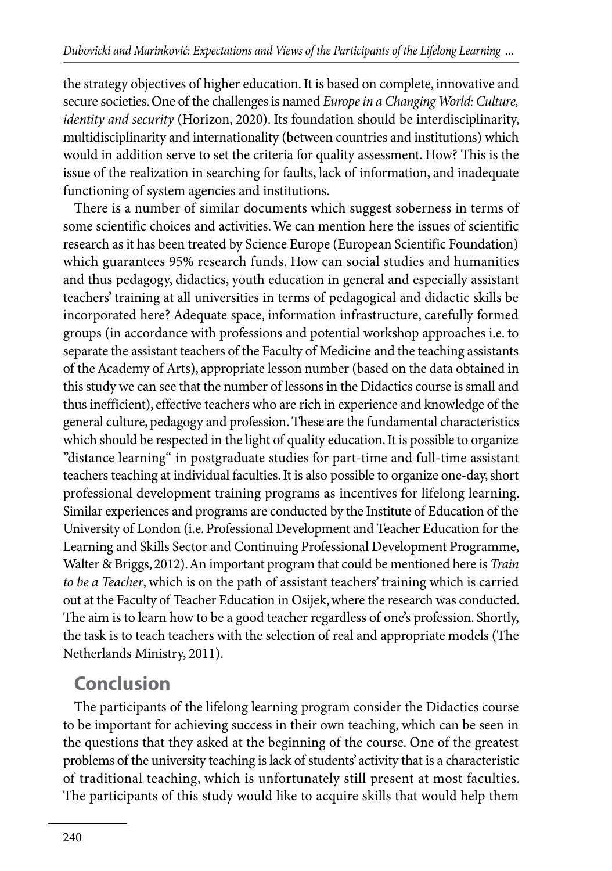the strategy objectives of higher education. It is based on complete, innovative and secure societies. One of the challenges is named *Europe in a Changing World: Culture, identity and security* (Horizon, 2020). Its foundation should be interdisciplinarity, multidisciplinarity and internationality (between countries and institutions) which would in addition serve to set the criteria for quality assessment. How? This is the issue of the realization in searching for faults, lack of information, and inadequate functioning of system agencies and institutions.

There is a number of similar documents which suggest soberness in terms of some scientific choices and activities. We can mention here the issues of scientific research as it has been treated by Science Europe (European Scientific Foundation) which guarantees 95% research funds. How can social studies and humanities and thus pedagogy, didactics, youth education in general and especially assistant teachers' training at all universities in terms of pedagogical and didactic skills be incorporated here? Adequate space, information infrastructure, carefully formed groups (in accordance with professions and potential workshop approaches i.e. to separate the assistant teachers of the Faculty of Medicine and the teaching assistants of the Academy of Arts), appropriate lesson number (based on the data obtained in this study we can see that the number of lessons in the Didactics course is small and thus inefficient), effective teachers who are rich in experience and knowledge of the general culture, pedagogy and profession. These are the fundamental characteristics which should be respected in the light of quality education. It is possible to organize "distance learning" in postgraduate studies for part-time and full-time assistant teachers teaching at individual faculties. It is also possible to organize one-day, short professional development training programs as incentives for lifelong learning. Similar experiences and programs are conducted by the Institute of Education of the University of London (i.e. Professional Development and Teacher Education for the Learning and Skills Sector and Continuing Professional Development Programme, Walter & Briggs, 2012). An important program that could be mentioned here is *Train to be a Teacher*, which is on the path of assistant teachers' training which is carried out at the Faculty of Teacher Education in Osijek, where the research was conducted. The aim is to learn how to be a good teacher regardless of one's profession. Shortly, the task is to teach teachers with the selection of real and appropriate models (The Netherlands Ministry, 2011).

# **Conclusion**

The participants of the lifelong learning program consider the Didactics course to be important for achieving success in their own teaching, which can be seen in the questions that they asked at the beginning of the course. One of the greatest problems of the university teaching is lack of students' activity that is a characteristic of traditional teaching, which is unfortunately still present at most faculties. The participants of this study would like to acquire skills that would help them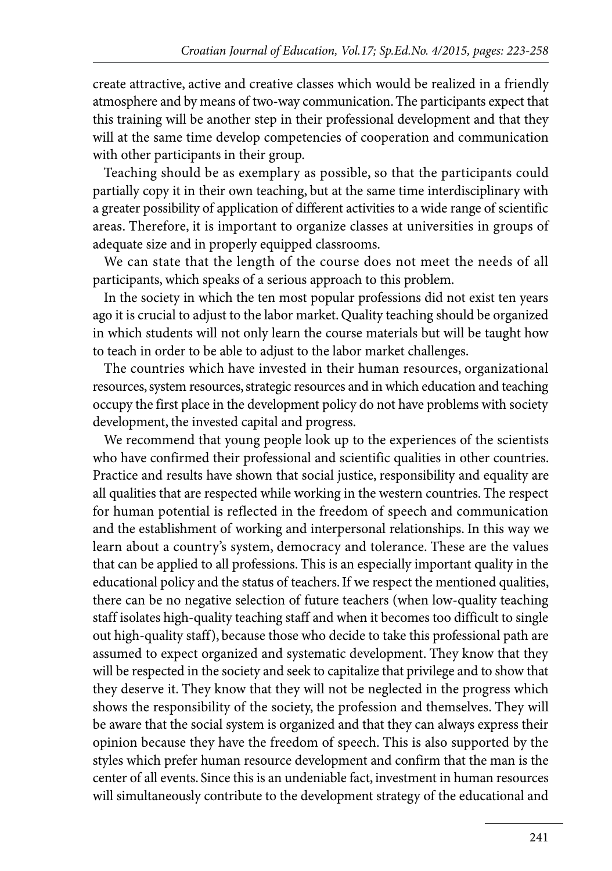create attractive, active and creative classes which would be realized in a friendly atmosphere and by means of two-way communication. The participants expect that this training will be another step in their professional development and that they will at the same time develop competencies of cooperation and communication with other participants in their group.

Teaching should be as exemplary as possible, so that the participants could partially copy it in their own teaching, but at the same time interdisciplinary with a greater possibility of application of different activities to a wide range of scientific areas. Therefore, it is important to organize classes at universities in groups of adequate size and in properly equipped classrooms.

We can state that the length of the course does not meet the needs of all participants, which speaks of a serious approach to this problem.

In the society in which the ten most popular professions did not exist ten years ago it is crucial to adjust to the labor market. Quality teaching should be organized in which students will not only learn the course materials but will be taught how to teach in order to be able to adjust to the labor market challenges.

The countries which have invested in their human resources, organizational resources, system resources, strategic resources and in which education and teaching occupy the first place in the development policy do not have problems with society development, the invested capital and progress.

We recommend that young people look up to the experiences of the scientists who have confirmed their professional and scientific qualities in other countries. Practice and results have shown that social justice, responsibility and equality are all qualities that are respected while working in the western countries. The respect for human potential is reflected in the freedom of speech and communication and the establishment of working and interpersonal relationships. In this way we learn about a country's system, democracy and tolerance. These are the values that can be applied to all professions. This is an especially important quality in the educational policy and the status of teachers. If we respect the mentioned qualities, there can be no negative selection of future teachers (when low-quality teaching staff isolates high-quality teaching staff and when it becomes too difficult to single out high-quality staff), because those who decide to take this professional path are assumed to expect organized and systematic development. They know that they will be respected in the society and seek to capitalize that privilege and to show that they deserve it. They know that they will not be neglected in the progress which shows the responsibility of the society, the profession and themselves. They will be aware that the social system is organized and that they can always express their opinion because they have the freedom of speech. This is also supported by the styles which prefer human resource development and confirm that the man is the center of all events. Since this is an undeniable fact, investment in human resources will simultaneously contribute to the development strategy of the educational and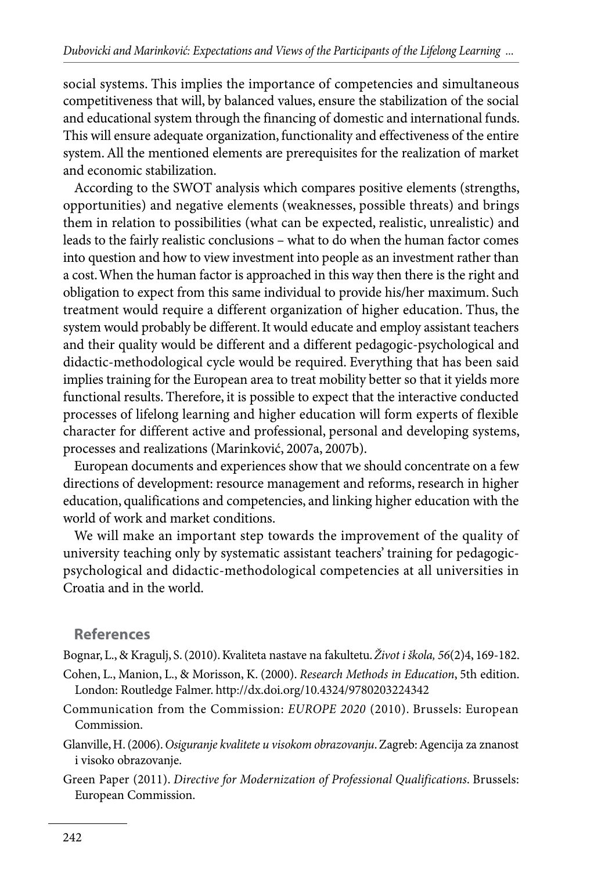social systems. This implies the importance of competencies and simultaneous competitiveness that will, by balanced values, ensure the stabilization of the social and educational system through the financing of domestic and international funds. This will ensure adequate organization, functionality and effectiveness of the entire system. All the mentioned elements are prerequisites for the realization of market and economic stabilization.

According to the SWOT analysis which compares positive elements (strengths, opportunities) and negative elements (weaknesses, possible threats) and brings them in relation to possibilities (what can be expected, realistic, unrealistic) and leads to the fairly realistic conclusions – what to do when the human factor comes into question and how to view investment into people as an investment rather than a cost. When the human factor is approached in this way then there is the right and obligation to expect from this same individual to provide his/her maximum. Such treatment would require a different organization of higher education. Thus, the system would probably be different. It would educate and employ assistant teachers and their quality would be different and a different pedagogic-psychological and didactic-methodological cycle would be required. Everything that has been said implies training for the European area to treat mobility better so that it yields more functional results. Therefore, it is possible to expect that the interactive conducted processes of lifelong learning and higher education will form experts of flexible character for different active and professional, personal and developing systems, processes and realizations (Marinković, 2007a, 2007b).

European documents and experiences show that we should concentrate on a few directions of development: resource management and reforms, research in higher education, qualifications and competencies, and linking higher education with the world of work and market conditions.

We will make an important step towards the improvement of the quality of university teaching only by systematic assistant teachers' training for pedagogicpsychological and didactic-methodological competencies at all universities in Croatia and in the world.

#### **References**

Bognar, L., & Kragulj, S. (2010). Kvaliteta nastave na fakultetu. *Život i škola, 56*(2)4, 169-182.

- Cohen, L., Manion, L., & Morisson, K. (2000). *Research Methods in Education*, 5th edition. London: Routledge Falmer. http://dx.doi.org/10.4324/9780203224342
- Communication from the Commission: *EUROPE 2020* (2010). Brussels: European Commission.
- Glanville, H. (2006). *Osiguranje kvalitete u visokom obrazovanju*. Zagreb: Agencija za znanost i visoko obrazovanje.
- Green Paper (2011). *Directive for Modernization of Professional Qualifications*. Brussels: European Commission.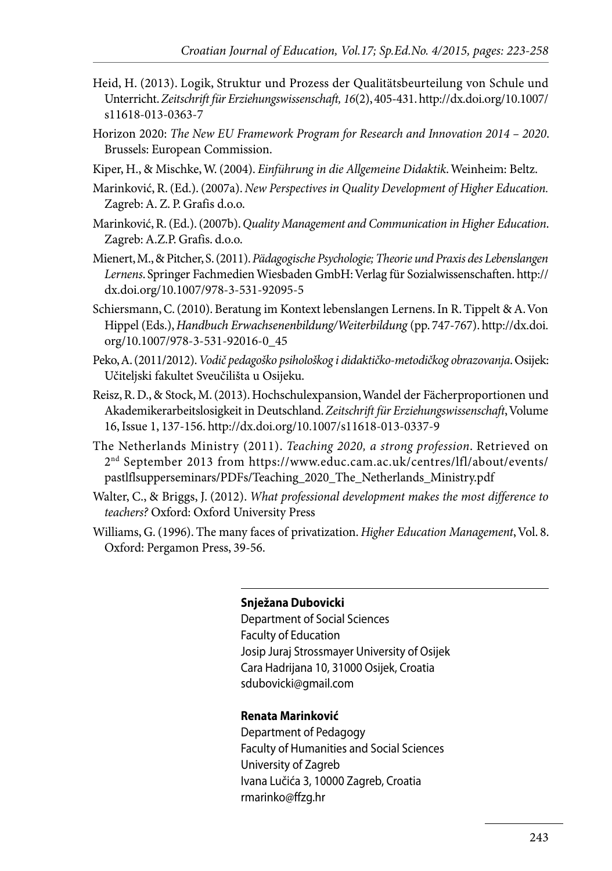- Heid, H. (2013). Logik, Struktur und Prozess der Qualitätsbeurteilung von Schule und Unterricht. *Zeitschrift für Erziehungswissenschaft, 16*(2), 405-431. http://dx.doi.org/10.1007/ s11618-013-0363-7
- Horizon 2020: *The New EU Framework Program for Research and Innovation 2014 2020*. Brussels: European Commission.
- Kiper, H., & Mischke, W. (2004). *Einführung in die Allgemeine Didaktik*. Weinheim: Beltz.
- Marinković, R. (Ed.). (2007a). *New Perspectives in Quality Development of Higher Education.*  Zagreb: A. Z. P. Grafis d.o.o.
- Marinković, R. (Ed.). (2007b). *Quality Management and Communication in Higher Education*. Zagreb: A.Z.P. Grafis. d.o.o.
- Mienert, M., & Pitcher, S. (2011). *Pädagogische Psychologie; Theorie und Praxis des Lebenslangen Lernens*. Springer Fachmedien Wiesbaden GmbH: Verlag für Sozialwissenschaften. http:// dx.doi.org/10.1007/978-3-531-92095-5
- Schiersmann, C. (2010). Beratung im Kontext lebenslangen Lernens. In R. Tippelt & A. Von Hippel (Eds.), *Handbuch Erwachsenenbildung/Weiterbildung* (pp. 747-767). http://dx.doi. org/10.1007/978-3-531-92016-0\_45
- Peko, A. (2011/2012). *Vodič pedagoško psihološkog i didaktičko-metodičkog obrazovanja*. Osijek: Učiteljski fakultet Sveučilišta u Osijeku.
- Reisz, R. D., & Stock, M. (2013). Hochschulexpansion, Wandel der Fächerproportionen und Akademikerarbeitslosigkeit in Deutschland. *Zeitschrift für Erziehungswissenschaft*, Volume 16, Issue 1, 137-156. http://dx.doi.org/10.1007/s11618-013-0337-9
- The Netherlands Ministry (2011). *Teaching 2020, a strong profession*. Retrieved on 2nd September 2013 from https://www.educ.cam.ac.uk/centres/lfl/about/events/ pastlflsupperseminars/PDFs/Teaching\_2020\_The\_Netherlands\_Ministry.pdf
- Walter, C., & Briggs, J. (2012). *What professional development makes the most difference to teachers?* Oxford: Oxford University Press
- Williams, G. (1996). The many faces of privatization. *Higher Education Management*, Vol. 8. Oxford: Pergamon Press, 39-56.

#### **Snježana Dubovicki**

Department of Social Sciences Faculty of Education Josip Juraj Strossmayer University of Osijek Cara Hadrijana 10, 31000 Osijek, Croatia sdubovicki@gmail.com

#### **Renata Marinković**

Department of Pedagogy Faculty of Humanities and Social Sciences University of Zagreb Ivana Lučića 3, 10000 Zagreb, Croatia rmarinko@ffzg.hr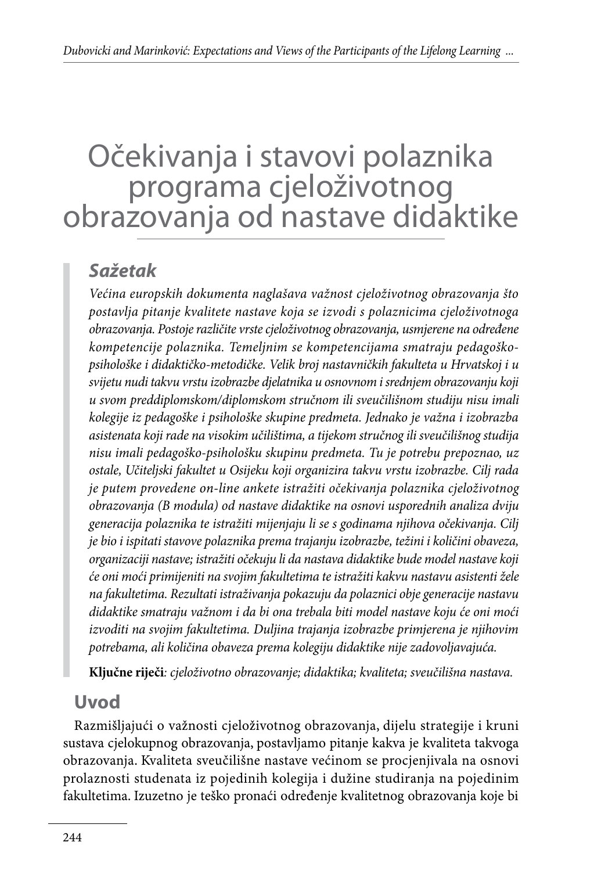# Očekivanja i stavovi polaznika programa cjeloživotnog obrazovanja od nastave didaktike

## *Sažetak*

*Većina europskih dokumenta naglašava važnost cjeloživotnog obrazovanja što postavlja pitanje kvalitete nastave koja se izvodi s polaznicima cjeloživotnoga obrazovanja. Postoje različite vrste cjeloživotnog obrazovanja, usmjerene na određene kompetencije polaznika. Temeljnim se kompetencijama smatraju pedagoškopsihološke i didaktičko-metodičke. Velik broj nastavničkih fakulteta u Hrvatskoj i u svijetu nudi takvu vrstu izobrazbe djelatnika u osnovnom i srednjem obrazovanju koji u svom preddiplomskom/diplomskom stručnom ili sveučilišnom studiju nisu imali kolegije iz pedagoške i psihološke skupine predmeta. Jednako je važna i izobrazba asistenata koji rade na visokim učilištima, a tijekom stručnog ili sveučilišnog studija nisu imali pedagoško-psihološku skupinu predmeta. Tu je potrebu prepoznao, uz ostale, Učiteljski fakultet u Osijeku koji organizira takvu vrstu izobrazbe. Cilj rada je putem provedene on-line ankete istražiti očekivanja polaznika cjeloživotnog obrazovanja (B modula) od nastave didaktike na osnovi usporednih analiza dviju generacija polaznika te istražiti mijenjaju li se s godinama njihova očekivanja. Cilj je bio i ispitati stavove polaznika prema trajanju izobrazbe, težini i količini obaveza, organizaciji nastave; istražiti očekuju li da nastava didaktike bude model nastave koji će oni moći primijeniti na svojim fakultetima te istražiti kakvu nastavu asistenti žele na fakultetima. Rezultati istraživanja pokazuju da polaznici obje generacije nastavu didaktike smatraju važnom i da bi ona trebala biti model nastave koju će oni moći izvoditi na svojim fakultetima. Duljina trajanja izobrazbe primjerena je njihovim potrebama, ali količina obaveza prema kolegiju didaktike nije zadovoljavajuća.*

**Ključne riječi***: cjeloživotno obrazovanje; didaktika; kvaliteta; sveučilišna nastava.*

## **Uvod**

Razmišljajući o važnosti cjeloživotnog obrazovanja, dijelu strategije i kruni sustava cjelokupnog obrazovanja, postavljamo pitanje kakva je kvaliteta takvoga obrazovanja. Kvaliteta sveučilišne nastave većinom se procjenjivala na osnovi prolaznosti studenata iz pojedinih kolegija i dužine studiranja na pojedinim fakultetima. Izuzetno je teško pronaći određenje kvalitetnog obrazovanja koje bi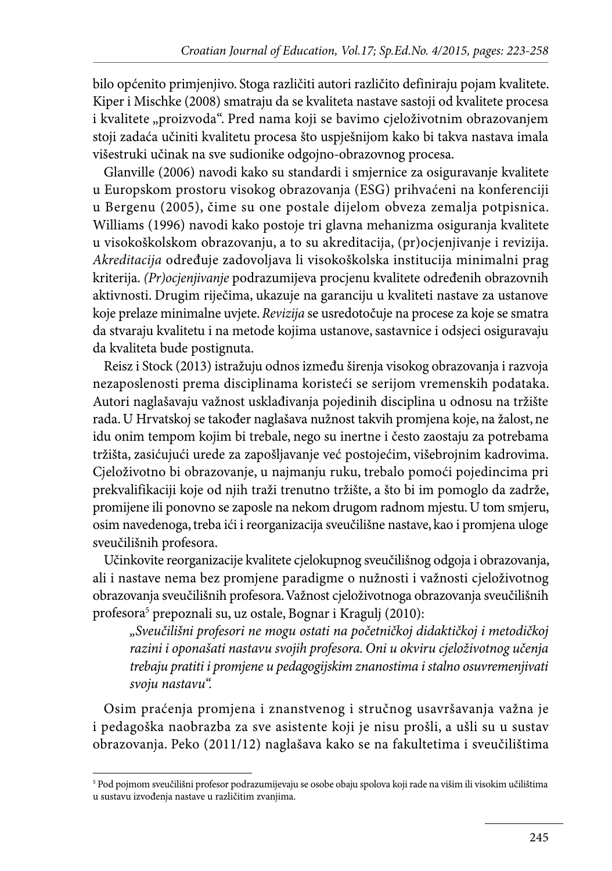bilo općenito primjenjivo. Stoga različiti autori različito definiraju pojam kvalitete. Kiper i Mischke (2008) smatraju da se kvaliteta nastave sastoji od kvalitete procesa i kvalitete "proizvoda". Pred nama koji se bavimo cjeloživotnim obrazovanjem stoji zadaća učiniti kvalitetu procesa što uspješnijom kako bi takva nastava imala višestruki učinak na sve sudionike odgojno-obrazovnog procesa.

Glanville (2006) navodi kako su standardi i smjernice za osiguravanje kvalitete u Europskom prostoru visokog obrazovanja (ESG) prihvaćeni na konferenciji u Bergenu (2005), čime su one postale dijelom obveza zemalja potpisnica. Williams (1996) navodi kako postoje tri glavna mehanizma osiguranja kvalitete u visokoškolskom obrazovanju, a to su akreditacija, (pr)ocjenjivanje i revizija. *Akreditacija* određuje zadovoljava li visokoškolska institucija minimalni prag kriterija. *(Pr)ocjenjivanje* podrazumijeva procjenu kvalitete određenih obrazovnih aktivnosti. Drugim riječima, ukazuje na garanciju u kvaliteti nastave za ustanove koje prelaze minimalne uvjete. *Revizija* se usredotočuje na procese za koje se smatra da stvaraju kvalitetu i na metode kojima ustanove, sastavnice i odsjeci osiguravaju da kvaliteta bude postignuta.

Reisz i Stock (2013) istražuju odnos između širenja visokog obrazovanja i razvoja nezaposlenosti prema disciplinama koristeći se serijom vremenskih podataka. Autori naglašavaju važnost usklađivanja pojedinih disciplina u odnosu na tržište rada. U Hrvatskoj se također naglašava nužnost takvih promjena koje, na žalost, ne idu onim tempom kojim bi trebale, nego su inertne i često zaostaju za potrebama tržišta, zasićujući urede za zapošljavanje već postojećim, višebrojnim kadrovima. Cjeloživotno bi obrazovanje, u najmanju ruku, trebalo pomoći pojedincima pri prekvalifikaciji koje od njih traži trenutno tržište, a što bi im pomoglo da zadrže, promijene ili ponovno se zaposle na nekom drugom radnom mjestu. U tom smjeru, osim navedenoga, treba ići i reorganizacija sveučilišne nastave, kao i promjena uloge sveučilišnih profesora.

Učinkovite reorganizacije kvalitete cjelokupnog sveučilišnog odgoja i obrazovanja, ali i nastave nema bez promjene paradigme o nužnosti i važnosti cjeloživotnog obrazovanja sveučilišnih profesora. Važnost cjeloživotnoga obrazovanja sveučilišnih profesora5 prepoznali su, uz ostale, Bognar i Kragulj (2010):

*"Sveučilišni profesori ne mogu ostati na početničkoj didaktičkoj i metodičkoj razini i oponašati nastavu svojih profesora. Oni u okviru cjeloživotnog učenja trebaju pratiti i promjene u pedagogijskim znanostima i stalno osuvremenjivati svoju nastavu".*

Osim praćenja promjena i znanstvenog i stručnog usavršavanja važna je i pedagoška naobrazba za sve asistente koji je nisu prošli, a ušli su u sustav obrazovanja. Peko (2011/12) naglašava kako se na fakultetima i sveučilištima

<sup>5</sup> Pod pojmom sveučilišni profesor podrazumijevaju se osobe obaju spolova koji rade na višim ili visokim učilištima u sustavu izvođenja nastave u različitim zvanjima.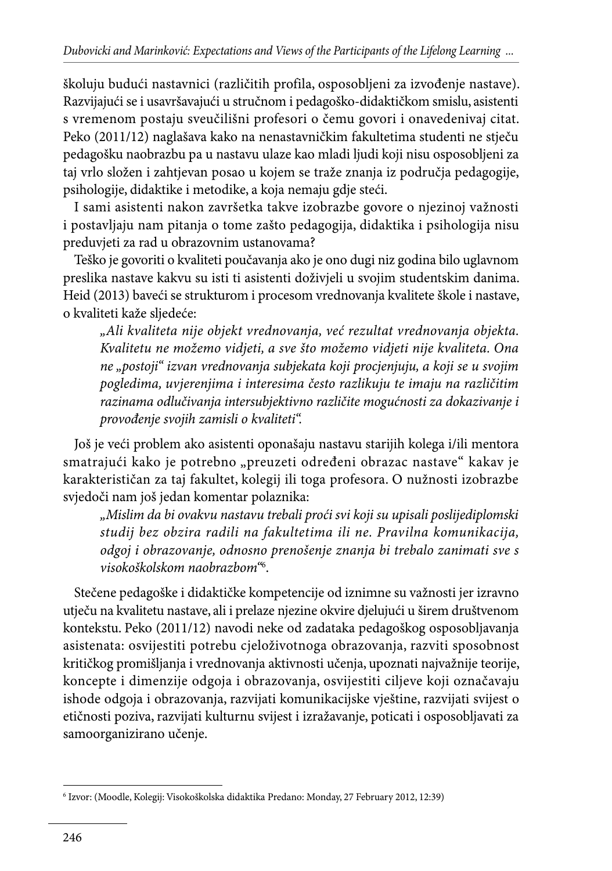školuju budući nastavnici (različitih profila, osposobljeni za izvođenje nastave). Razvijajući se i usavršavajući u stručnom i pedagoško-didaktičkom smislu, asistenti s vremenom postaju sveučilišni profesori o čemu govori i onavedenivaj citat. Peko (2011/12) naglašava kako na nenastavničkim fakultetima studenti ne stječu pedagošku naobrazbu pa u nastavu ulaze kao mladi ljudi koji nisu osposobljeni za taj vrlo složen i zahtjevan posao u kojem se traže znanja iz područja pedagogije, psihologije, didaktike i metodike, a koja nemaju gdje steći.

I sami asistenti nakon završetka takve izobrazbe govore o njezinoj važnosti i postavljaju nam pitanja o tome zašto pedagogija, didaktika i psihologija nisu preduvjeti za rad u obrazovnim ustanovama?

Teško je govoriti o kvaliteti poučavanja ako je ono dugi niz godina bilo uglavnom preslika nastave kakvu su isti ti asistenti doživjeli u svojim studentskim danima. Heid (2013) baveći se strukturom i procesom vrednovanja kvalitete škole i nastave, o kvaliteti kaže sljedeće:

*"Ali kvaliteta nije objekt vrednovanja, već rezultat vrednovanja objekta. Kvalitetu ne možemo vidjeti, a sve što možemo vidjeti nije kvaliteta. Ona ne "postoji" izvan vrednovanja subjekata koji procjenjuju, a koji se u svojim pogledima, uvjerenjima i interesima često razlikuju te imaju na različitim razinama odlučivanja intersubjektivno različite mogućnosti za dokazivanje i provođenje svojih zamisli o kvaliteti".*

Još je veći problem ako asistenti oponašaju nastavu starijih kolega i/ili mentora smatrajući kako je potrebno "preuzeti određeni obrazac nastave" kakav je karakterističan za taj fakultet, kolegij ili toga profesora. O nužnosti izobrazbe svjedoči nam još jedan komentar polaznika:

*"Mislim da bi ovakvu nastavu trebali proći svi koji su upisali poslijediplomski studij bez obzira radili na fakultetima ili ne. Pravilna komunikacija, odgoj i obrazovanje, odnosno prenošenje znanja bi trebalo zanimati sve s visokoškolskom naobrazbom"*<sup>6</sup> .

Stečene pedagoške i didaktičke kompetencije od iznimne su važnosti jer izravno utječu na kvalitetu nastave, ali i prelaze njezine okvire djelujući u širem društvenom kontekstu. Peko (2011/12) navodi neke od zadataka pedagoškog osposobljavanja asistenata: osvijestiti potrebu cjeloživotnoga obrazovanja, razviti sposobnost kritičkog promišljanja i vrednovanja aktivnosti učenja, upoznati najvažnije teorije, koncepte i dimenzije odgoja i obrazovanja, osvijestiti ciljeve koji označavaju ishode odgoja i obrazovanja, razvijati komunikacijske vještine, razvijati svijest o etičnosti poziva, razvijati kulturnu svijest i izražavanje, poticati i osposobljavati za samoorganizirano učenje.

<sup>6</sup> Izvor: (Moodle, Kolegij: Visokoškolska didaktika Predano: Monday, 27 February 2012, 12:39)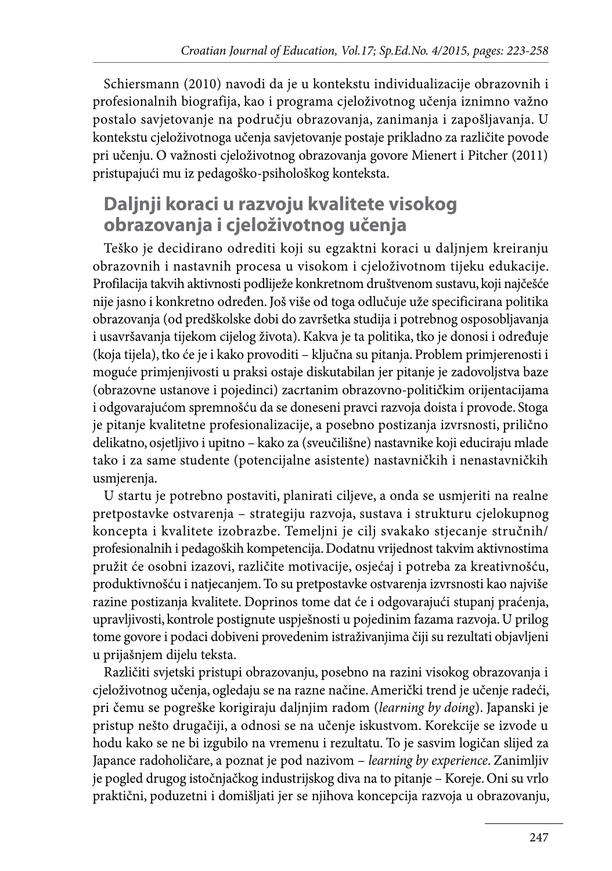Schiersmann (2010) navodi da je u kontekstu individualizacije obrazovnih i profesionalnih biografija, kao i programa cjeloživotnog učenja iznimno važno postalo savjetovanje na području obrazovanja, zanimanja i zapošljavanja. U kontekstu cjeloživotnoga učenja savjetovanje postaje prikladno za različite povode pri učenju. O važnosti cjeloživotnog obrazovanja govore Mienert i Pitcher (2011) pristupajući mu iz pedagoško-psihološkog konteksta.

## **Daljnji koraci u razvoju kvalitete visokog obrazovanja i cjeloživotnog učenja**

Teško je decidirano odrediti koji su egzaktni koraci u daljnjem kreiranju obrazovnih i nastavnih procesa u visokom i cjeloživotnom tijeku edukacije. Profilacija takvih aktivnosti podliježe konkretnom društvenom sustavu, koji najčešće nije jasno i konkretno određen. Još više od toga odlučuje uže specificirana politika obrazovanja (od predškolske dobi do završetka studija i potrebnog osposobljavanja i usavršavanja tijekom cijelog života). Kakva je ta politika, tko je donosi i određuje (koja tijela), tko će je i kako provoditi – ključna su pitanja. Problem primjerenosti i moguće primjenjivosti u praksi ostaje diskutabilan jer pitanje je zadovoljstva baze (obrazovne ustanove i pojedinci) zacrtanim obrazovno-političkim orijentacijama i odgovarajućom spremnošću da se doneseni pravci razvoja doista i provode. Stoga je pitanje kvalitetne profesionalizacije, a posebno postizanja izvrsnosti, prilično delikatno, osjetljivo i upitno – kako za (sveučilišne) nastavnike koji educiraju mlade tako i za same studente (potencijalne asistente) nastavničkih i nenastavničkih usmjerenja.

U startu je potrebno postaviti, planirati ciljeve, a onda se usmjeriti na realne pretpostavke ostvarenja – strategiju razvoja, sustava i strukturu cjelokupnog koncepta i kvalitete izobrazbe. Temeljni je cilj svakako stjecanje stručnih/ profesionalnih i pedagoških kompetencija. Dodatnu vrijednost takvim aktivnostima pružit će osobni izazovi, različite motivacije, osjećaj i potreba za kreativnošću, produktivnošću i natjecanjem. To su pretpostavke ostvarenja izvrsnosti kao najviše razine postizanja kvalitete. Doprinos tome dat će i odgovarajući stupanj praćenja, upravljivosti, kontrole postignute uspješnosti u pojedinim fazama razvoja. U prilog tome govore i podaci dobiveni provedenim istraživanjima čiji su rezultati objavljeni u prijašnjem dijelu teksta.

Različiti svjetski pristupi obrazovanju, posebno na razini visokog obrazovanja i cjeloživotnog učenja, ogledaju se na razne načine. Američki trend je učenje radeći, pri čemu se pogreške korigiraju daljnjim radom (*learning by doing*). Japanski je pristup nešto drugačiji, a odnosi se na učenje iskustvom. Korekcije se izvode u hodu kako se ne bi izgubilo na vremenu i rezultatu. To je sasvim logičan slijed za Japance radoholičare, a poznat je pod nazivom – *learning by experience*. Zanimljiv je pogled drugog istočnjačkog industrijskog diva na to pitanje – Koreje. Oni su vrlo praktični, poduzetni i domišljati jer se njihova koncepcija razvoja u obrazovanju,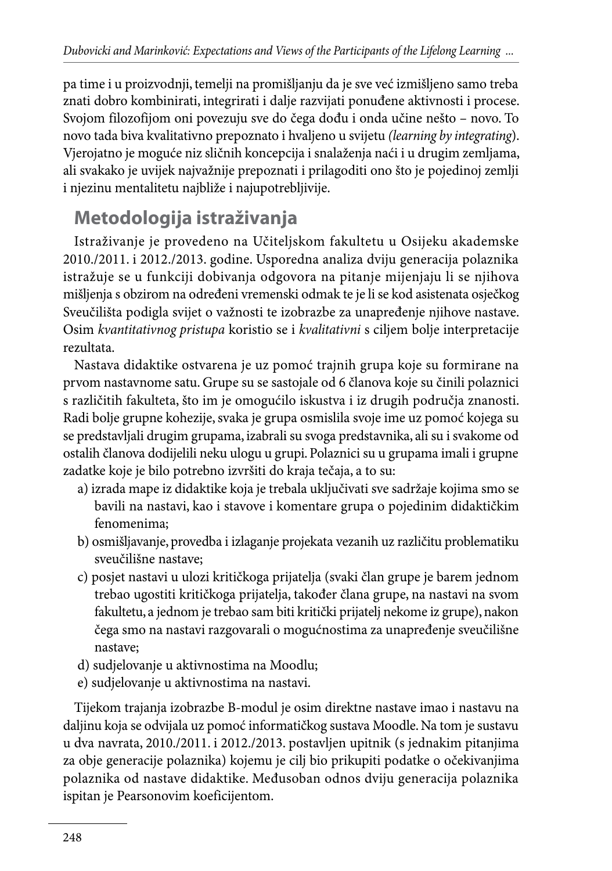pa time i u proizvodnji, temelji na promišljanju da je sve već izmišljeno samo treba znati dobro kombinirati, integrirati i dalje razvijati ponuđene aktivnosti i procese. Svojom filozofijom oni povezuju sve do čega dođu i onda učine nešto – novo. To novo tada biva kvalitativno prepoznato i hvaljeno u svijetu *(learning by integrating*). Vjerojatno je moguće niz sličnih koncepcija i snalaženja naći i u drugim zemljama, ali svakako je uvijek najvažnije prepoznati i prilagoditi ono što je pojedinoj zemlji i njezinu mentalitetu najbliže i najupotrebljivije.

# **Metodologija istraživanja**

Istraživanje je provedeno na Učiteljskom fakultetu u Osijeku akademske 2010./2011. i 2012./2013. godine. Usporedna analiza dviju generacija polaznika istražuje se u funkciji dobivanja odgovora na pitanje mijenjaju li se njihova mišljenja s obzirom na određeni vremenski odmak te je li se kod asistenata osječkog Sveučilišta podigla svijet o važnosti te izobrazbe za unapređenje njihove nastave. Osim *kvantitativnog pristupa* koristio se i *kvalitativni* s ciljem bolje interpretacije rezultata.

Nastava didaktike ostvarena je uz pomoć trajnih grupa koje su formirane na prvom nastavnome satu. Grupe su se sastojale od 6 članova koje su činili polaznici s različitih fakulteta, što im je omogućilo iskustva i iz drugih područja znanosti. Radi bolje grupne kohezije, svaka je grupa osmislila svoje ime uz pomoć kojega su se predstavljali drugim grupama, izabrali su svoga predstavnika, ali su i svakome od ostalih članova dodijelili neku ulogu u grupi. Polaznici su u grupama imali i grupne zadatke koje je bilo potrebno izvršiti do kraja tečaja, a to su:

- a) izrada mape iz didaktike koja je trebala uključivati sve sadržaje kojima smo se bavili na nastavi, kao i stavove i komentare grupa o pojedinim didaktičkim fenomenima;
- b) osmišljavanje, provedba i izlaganje projekata vezanih uz različitu problematiku sveučilišne nastave;
- c) posjet nastavi u ulozi kritičkoga prijatelja (svaki član grupe je barem jednom trebao ugostiti kritičkoga prijatelja, također člana grupe, na nastavi na svom fakultetu, a jednom je trebao sam biti kritički prijatelj nekome iz grupe), nakon čega smo na nastavi razgovarali o mogućnostima za unapređenje sveučilišne nastave;
- d) sudjelovanje u aktivnostima na Moodlu;
- e) sudjelovanje u aktivnostima na nastavi.

Tijekom trajanja izobrazbe B-modul je osim direktne nastave imao i nastavu na daljinu koja se odvijala uz pomoć informatičkog sustava Moodle. Na tom je sustavu u dva navrata, 2010./2011. i 2012./2013. postavljen upitnik (s jednakim pitanjima za obje generacije polaznika) kojemu je cilj bio prikupiti podatke o očekivanjima polaznika od nastave didaktike. Međusoban odnos dviju generacija polaznika ispitan je Pearsonovim koeficijentom.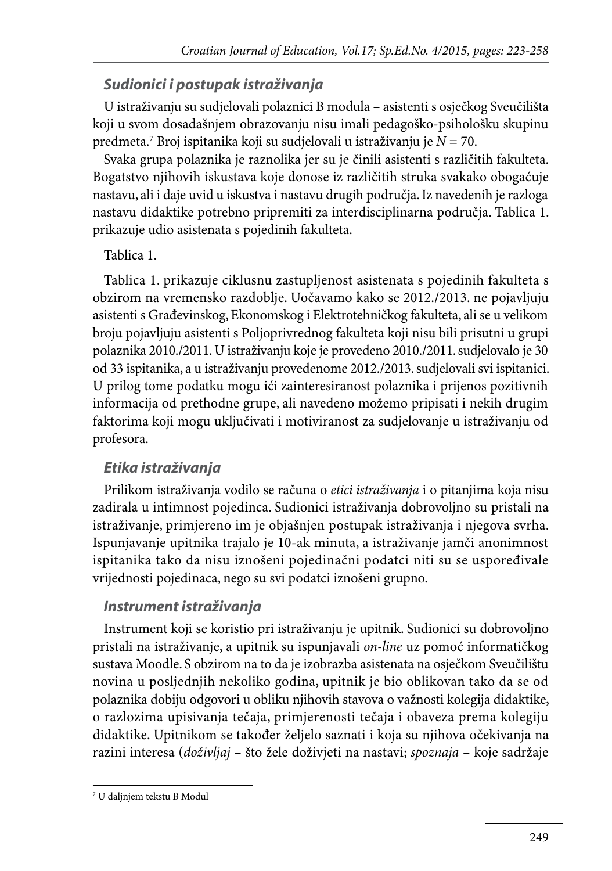### *Sudionici i postupak istraživanja*

U istraživanju su sudjelovali polaznici B modula – asistenti s osječkog Sveučilišta koji u svom dosadašnjem obrazovanju nisu imali pedagoško-psihološku skupinu predmeta.7 Broj ispitanika koji su sudjelovali u istraživanju je *N* = 70.

Svaka grupa polaznika je raznolika jer su je činili asistenti s različitih fakulteta. Bogatstvo njihovih iskustava koje donose iz različitih struka svakako obogaćuje nastavu, ali i daje uvid u iskustva i nastavu drugih područja. Iz navedenih je razloga nastavu didaktike potrebno pripremiti za interdisciplinarna područja. Tablica 1. prikazuje udio asistenata s pojedinih fakulteta.

Tablica 1.

Tablica 1. prikazuje ciklusnu zastupljenost asistenata s pojedinih fakulteta s obzirom na vremensko razdoblje. Uočavamo kako se 2012./2013. ne pojavljuju asistenti s Građevinskog, Ekonomskog i Elektrotehničkog fakulteta, ali se u velikom broju pojavljuju asistenti s Poljoprivrednog fakulteta koji nisu bili prisutni u grupi polaznika 2010./2011. U istraživanju koje je provedeno 2010./2011. sudjelovalo je 30 od 33 ispitanika, a u istraživanju provedenome 2012./2013. sudjelovali svi ispitanici. U prilog tome podatku mogu ići zainteresiranost polaznika i prijenos pozitivnih informacija od prethodne grupe, ali navedeno možemo pripisati i nekih drugim faktorima koji mogu uključivati i motiviranost za sudjelovanje u istraživanju od profesora.

### *Etika istraživanja*

Prilikom istraživanja vodilo se računa o *etici istraživanja* i o pitanjima koja nisu zadirala u intimnost pojedinca. Sudionici istraživanja dobrovoljno su pristali na istraživanje, primjereno im je objašnjen postupak istraživanja i njegova svrha. Ispunjavanje upitnika trajalo je 10-ak minuta, a istraživanje jamči anonimnost ispitanika tako da nisu iznošeni pojedinačni podatci niti su se uspoređivale vrijednosti pojedinaca, nego su svi podatci iznošeni grupno.

### *Instrument istraživanja*

Instrument koji se koristio pri istraživanju je upitnik. Sudionici su dobrovoljno pristali na istraživanje, a upitnik su ispunjavali *on-line* uz pomoć informatičkog sustava Moodle. S obzirom na to da je izobrazba asistenata na osječkom Sveučilištu novina u posljednjih nekoliko godina, upitnik je bio oblikovan tako da se od polaznika dobiju odgovori u obliku njihovih stavova o važnosti kolegija didaktike, o razlozima upisivanja tečaja, primjerenosti tečaja i obaveza prema kolegiju didaktike. Upitnikom se također željelo saznati i koja su njihova očekivanja na razini interesa (*doživljaj* – što žele doživjeti na nastavi; *spoznaja* – koje sadržaje

<sup>7</sup> U daljnjem tekstu B Modul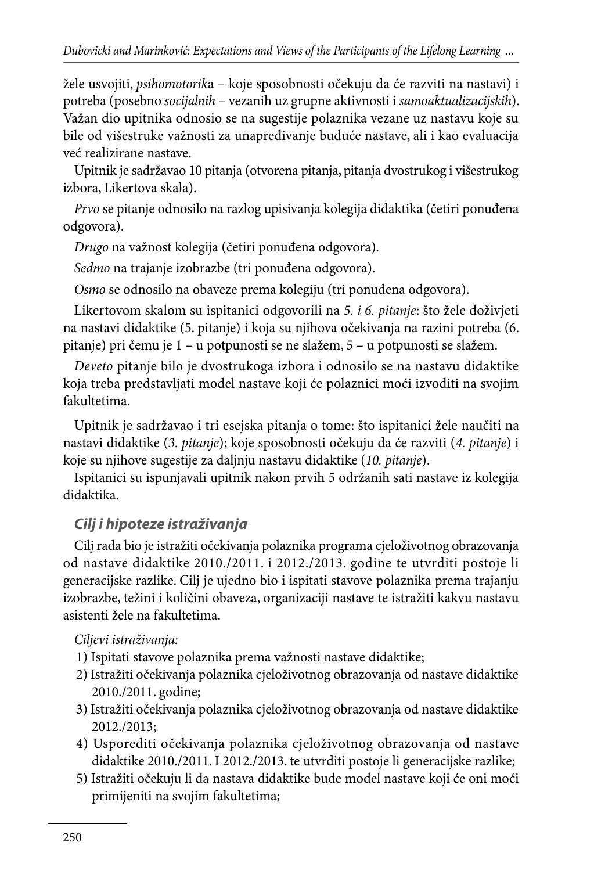žele usvojiti, *psihomotorik*a – koje sposobnosti očekuju da će razviti na nastavi) i potreba (posebno *socijalnih* – vezanih uz grupne aktivnosti i *samoaktualizacijskih*). Važan dio upitnika odnosio se na sugestije polaznika vezane uz nastavu koje su bile od višestruke važnosti za unapređivanje buduće nastave, ali i kao evaluacija već realizirane nastave.

Upitnik je sadržavao 10 pitanja (otvorena pitanja, pitanja dvostrukog i višestrukog izbora, Likertova skala).

*Prvo* se pitanje odnosilo na razlog upisivanja kolegija didaktika (četiri ponuđena odgovora).

*Drugo* na važnost kolegija (četiri ponuđena odgovora).

*Sedmo* na trajanje izobrazbe (tri ponuđena odgovora).

*Osmo* se odnosilo na obaveze prema kolegiju (tri ponuđena odgovora).

Likertovom skalom su ispitanici odgovorili na *5. i 6. pitanje*: što žele doživjeti na nastavi didaktike (5. pitanje) i koja su njihova očekivanja na razini potreba (6. pitanje) pri čemu je 1 – u potpunosti se ne slažem, 5 – u potpunosti se slažem.

*Deveto* pitanje bilo je dvostrukoga izbora i odnosilo se na nastavu didaktike koja treba predstavljati model nastave koji će polaznici moći izvoditi na svojim fakultetima.

Upitnik je sadržavao i tri esejska pitanja o tome: što ispitanici žele naučiti na nastavi didaktike (*3. pitanje*); koje sposobnosti očekuju da će razviti (*4. pitanje*) i koje su njihove sugestije za daljnju nastavu didaktike (*10. pitanje*).

Ispitanici su ispunjavali upitnik nakon prvih 5 održanih sati nastave iz kolegija didaktika.

### *Cilj i hipoteze istraživanja*

Cilj rada bio je istražiti očekivanja polaznika programa cjeloživotnog obrazovanja od nastave didaktike 2010./2011. i 2012./2013. godine te utvrditi postoje li generacijske razlike. Cilj je ujedno bio i ispitati stavove polaznika prema trajanju izobrazbe, težini i količini obaveza, organizaciji nastave te istražiti kakvu nastavu asistenti žele na fakultetima.

### *Ciljevi istraživanja:*

- 1) Ispitati stavove polaznika prema važnosti nastave didaktike;
- 2) Istražiti očekivanja polaznika cjeloživotnog obrazovanja od nastave didaktike 2010./2011. godine;
- 3) Istražiti očekivanja polaznika cjeloživotnog obrazovanja od nastave didaktike 2012./2013;
- 4) Usporediti očekivanja polaznika cjeloživotnog obrazovanja od nastave didaktike 2010./2011. I 2012./2013. te utvrditi postoje li generacijske razlike;
- 5) Istražiti očekuju li da nastava didaktike bude model nastave koji će oni moći primijeniti na svojim fakultetima;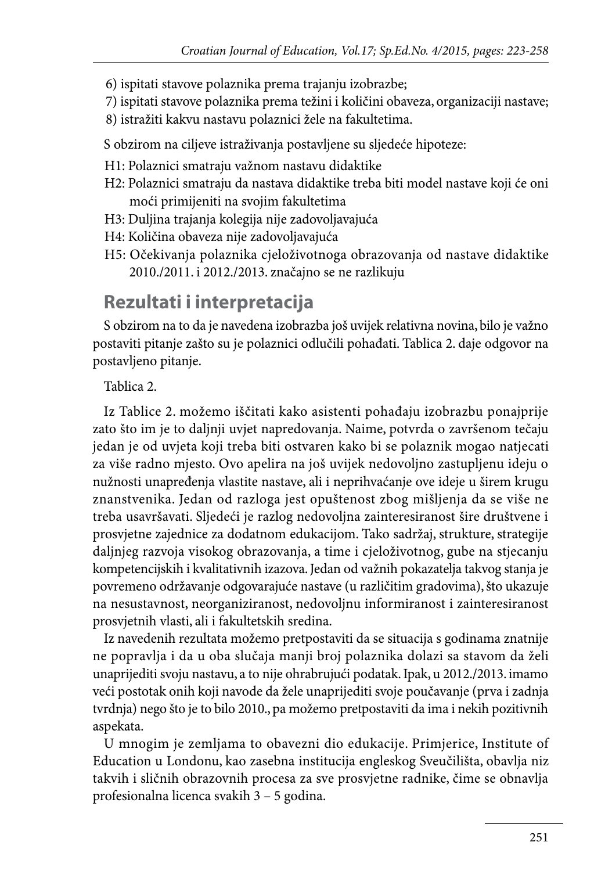- 6) ispitati stavove polaznika prema trajanju izobrazbe;
- 7) ispitati stavove polaznika prema težini i količini obaveza, organizaciji nastave;
- 8) istražiti kakvu nastavu polaznici žele na fakultetima.

S obzirom na ciljeve istraživanja postavljene su sljedeće hipoteze:

- H1: Polaznici smatraju važnom nastavu didaktike
- H2: Polaznici smatraju da nastava didaktike treba biti model nastave koji će oni moći primijeniti na svojim fakultetima
- H3: Duljina trajanja kolegija nije zadovoljavajuća
- H4: Količina obaveza nije zadovoljavajuća
- H5: Očekivanja polaznika cjeloživotnoga obrazovanja od nastave didaktike 2010./2011. i 2012./2013. značajno se ne razlikuju

### **Rezultati i interpretacija**

S obzirom na to da je navedena izobrazba još uvijek relativna novina, bilo je važno postaviti pitanje zašto su je polaznici odlučili pohađati. Tablica 2. daje odgovor na postavljeno pitanje.

#### Tablica 2.

Iz Tablice 2. možemo iščitati kako asistenti pohađaju izobrazbu ponajprije zato što im je to daljnji uvjet napredovanja. Naime, potvrda o završenom tečaju jedan je od uvjeta koji treba biti ostvaren kako bi se polaznik mogao natjecati za više radno mjesto. Ovo apelira na još uvijek nedovoljno zastupljenu ideju o nužnosti unapređenja vlastite nastave, ali i neprihvaćanje ove ideje u širem krugu znanstvenika. Jedan od razloga jest opuštenost zbog mišljenja da se više ne treba usavršavati. Sljedeći je razlog nedovoljna zainteresiranost šire društvene i prosvjetne zajednice za dodatnom edukacijom. Tako sadržaj, strukture, strategije daljnjeg razvoja visokog obrazovanja, a time i cjeloživotnog, gube na stjecanju kompetencijskih i kvalitativnih izazova. Jedan od važnih pokazatelja takvog stanja je povremeno održavanje odgovarajuće nastave (u različitim gradovima), što ukazuje na nesustavnost, neorganiziranost, nedovoljnu informiranost i zainteresiranost prosvjetnih vlasti, ali i fakultetskih sredina.

Iz navedenih rezultata možemo pretpostaviti da se situacija s godinama znatnije ne popravlja i da u oba slučaja manji broj polaznika dolazi sa stavom da želi unaprijediti svoju nastavu, a to nije ohrabrujući podatak. Ipak, u 2012./2013. imamo veći postotak onih koji navode da žele unaprijediti svoje poučavanje (prva i zadnja tvrdnja) nego što je to bilo 2010., pa možemo pretpostaviti da ima i nekih pozitivnih aspekata.

U mnogim je zemljama to obavezni dio edukacije. Primjerice, Institute of Education u Londonu, kao zasebna institucija engleskog Sveučilišta, obavlja niz takvih i sličnih obrazovnih procesa za sve prosvjetne radnike, čime se obnavlja profesionalna licenca svakih 3 – 5 godina.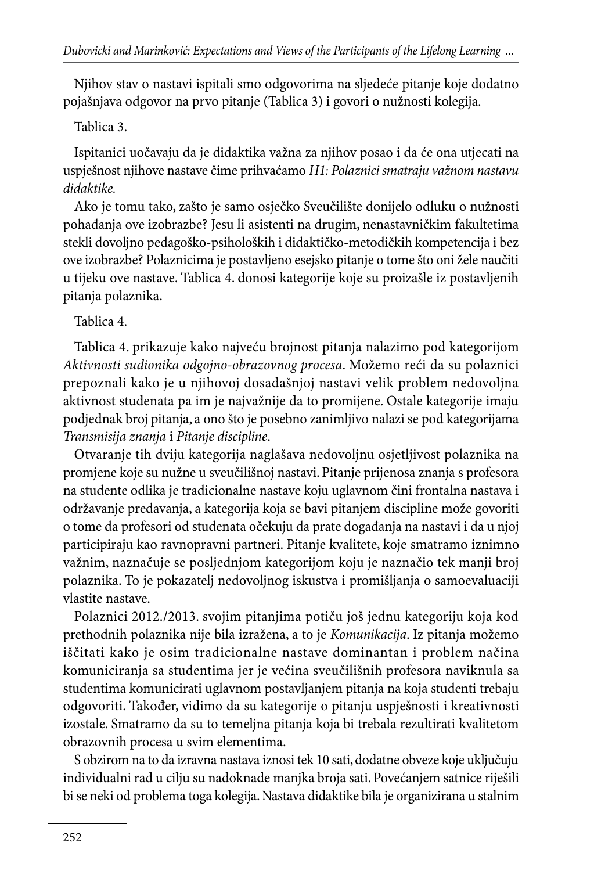Njihov stav o nastavi ispitali smo odgovorima na sljedeće pitanje koje dodatno pojašnjava odgovor na prvo pitanje (Tablica 3) i govori o nužnosti kolegija.

#### Tablica 3.

Ispitanici uočavaju da je didaktika važna za njihov posao i da će ona utjecati na uspješnost njihove nastave čime prihvaćamo *H1: Polaznici smatraju važnom nastavu didaktike.* 

Ako je tomu tako, zašto je samo osječko Sveučilište donijelo odluku o nužnosti pohađanja ove izobrazbe? Jesu li asistenti na drugim, nenastavničkim fakultetima stekli dovoljno pedagoško-psiholoških i didaktičko-metodičkih kompetencija i bez ove izobrazbe? Polaznicima je postavljeno esejsko pitanje o tome što oni žele naučiti u tijeku ove nastave. Tablica 4. donosi kategorije koje su proizašle iz postavljenih pitanja polaznika.

Tablica 4.

Tablica 4. prikazuje kako najveću brojnost pitanja nalazimo pod kategorijom *Aktivnosti sudionika odgojno-obrazovnog procesa*. Možemo reći da su polaznici prepoznali kako je u njihovoj dosadašnjoj nastavi velik problem nedovoljna aktivnost studenata pa im je najvažnije da to promijene. Ostale kategorije imaju podjednak broj pitanja, a ono što je posebno zanimljivo nalazi se pod kategorijama *Transmisija znanja* i *Pitanje discipline*.

Otvaranje tih dviju kategorija naglašava nedovoljnu osjetljivost polaznika na promjene koje su nužne u sveučilišnoj nastavi. Pitanje prijenosa znanja s profesora na studente odlika je tradicionalne nastave koju uglavnom čini frontalna nastava i održavanje predavanja, a kategorija koja se bavi pitanjem discipline može govoriti o tome da profesori od studenata očekuju da prate događanja na nastavi i da u njoj participiraju kao ravnopravni partneri. Pitanje kvalitete, koje smatramo iznimno važnim, naznačuje se posljednjom kategorijom koju je naznačio tek manji broj polaznika. To je pokazatelj nedovoljnog iskustva i promišljanja o samoevaluaciji vlastite nastave.

Polaznici 2012./2013. svojim pitanjima potiču još jednu kategoriju koja kod prethodnih polaznika nije bila izražena, a to je *Komunikacija*. Iz pitanja možemo iščitati kako je osim tradicionalne nastave dominantan i problem načina komuniciranja sa studentima jer je većina sveučilišnih profesora naviknula sa studentima komunicirati uglavnom postavljanjem pitanja na koja studenti trebaju odgovoriti. Također, vidimo da su kategorije o pitanju uspješnosti i kreativnosti izostale. Smatramo da su to temeljna pitanja koja bi trebala rezultirati kvalitetom obrazovnih procesa u svim elementima.

S obzirom na to da izravna nastava iznosi tek 10 sati, dodatne obveze koje uključuju individualni rad u cilju su nadoknade manjka broja sati. Povećanjem satnice riješili bi se neki od problema toga kolegija. Nastava didaktike bila je organizirana u stalnim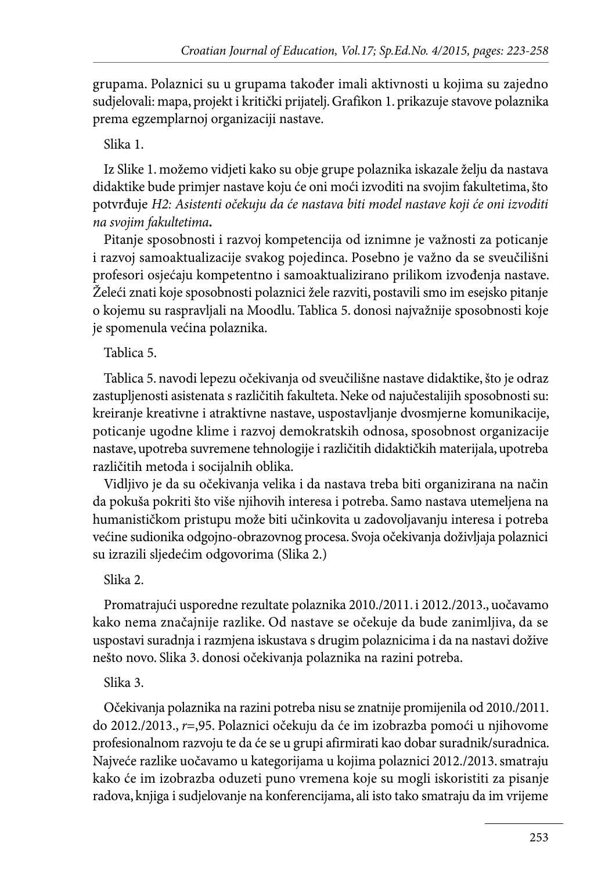grupama. Polaznici su u grupama također imali aktivnosti u kojima su zajedno sudjelovali: mapa, projekt i kritički prijatelj. Grafikon 1. prikazuje stavove polaznika prema egzemplarnoj organizaciji nastave.

Slika 1.

Iz Slike 1. možemo vidjeti kako su obje grupe polaznika iskazale želju da nastava didaktike bude primjer nastave koju će oni moći izvoditi na svojim fakultetima, što potvrđuje *H2: Asistenti očekuju da će nastava biti model nastave koji će oni izvoditi na svojim fakultetima***.**

Pitanje sposobnosti i razvoj kompetencija od iznimne je važnosti za poticanje i razvoj samoaktualizacije svakog pojedinca. Posebno je važno da se sveučilišni profesori osjećaju kompetentno i samoaktualizirano prilikom izvođenja nastave. Želeći znati koje sposobnosti polaznici žele razviti, postavili smo im esejsko pitanje o kojemu su raspravljali na Moodlu. Tablica 5. donosi najvažnije sposobnosti koje je spomenula većina polaznika.

### Tablica 5.

Tablica 5. navodi lepezu očekivanja od sveučilišne nastave didaktike, što je odraz zastupljenosti asistenata s različitih fakulteta. Neke od najučestalijih sposobnosti su: kreiranje kreativne i atraktivne nastave, uspostavljanje dvosmjerne komunikacije, poticanje ugodne klime i razvoj demokratskih odnosa, sposobnost organizacije nastave, upotreba suvremene tehnologije i različitih didaktičkih materijala, upotreba različitih metoda i socijalnih oblika.

Vidljivo je da su očekivanja velika i da nastava treba biti organizirana na način da pokuša pokriti što više njihovih interesa i potreba. Samo nastava utemeljena na humanističkom pristupu može biti učinkovita u zadovoljavanju interesa i potreba većine sudionika odgojno-obrazovnog procesa. Svoja očekivanja doživljaja polaznici su izrazili sljedećim odgovorima (Slika 2.)

### Slika 2.

Promatrajući usporedne rezultate polaznika 2010./2011. i 2012./2013., uočavamo kako nema značajnije razlike. Od nastave se očekuje da bude zanimljiva, da se uspostavi suradnja i razmjena iskustava s drugim polaznicima i da na nastavi dožive nešto novo. Slika 3. donosi očekivanja polaznika na razini potreba.

### Slika 3.

Očekivanja polaznika na razini potreba nisu se znatnije promijenila od 2010./2011. do 2012./2013., *r*=,95. Polaznici očekuju da će im izobrazba pomoći u njihovome profesionalnom razvoju te da će se u grupi afirmirati kao dobar suradnik/suradnica. Najveće razlike uočavamo u kategorijama u kojima polaznici 2012./2013. smatraju kako će im izobrazba oduzeti puno vremena koje su mogli iskoristiti za pisanje radova, knjiga i sudjelovanje na konferencijama, ali isto tako smatraju da im vrijeme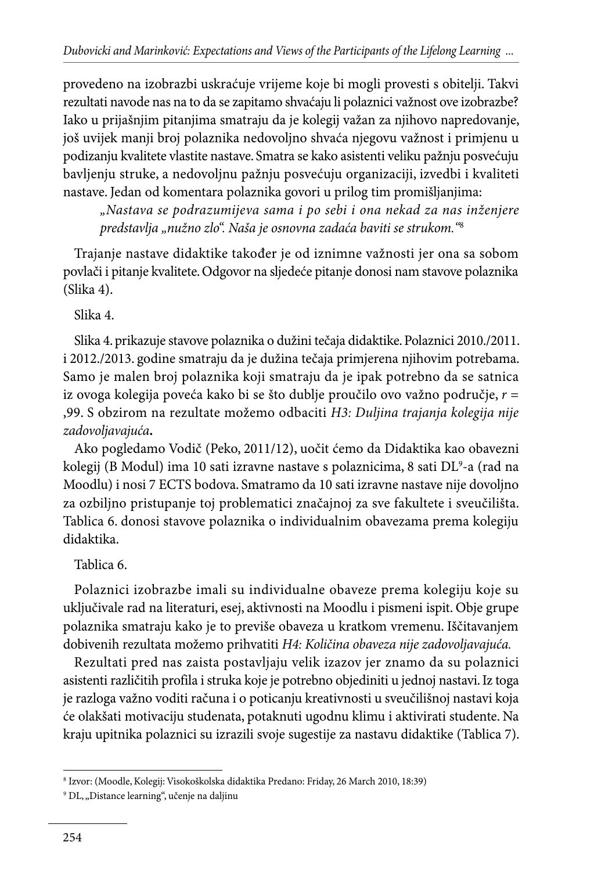provedeno na izobrazbi uskraćuje vrijeme koje bi mogli provesti s obitelji. Takvi rezultati navode nas na to da se zapitamo shvaćaju li polaznici važnost ove izobrazbe? Iako u prijašnjim pitanjima smatraju da je kolegij važan za njihovo napredovanje, još uvijek manji broj polaznika nedovoljno shvaća njegovu važnost i primjenu u podizanju kvalitete vlastite nastave. Smatra se kako asistenti veliku pažnju posvećuju bavljenju struke, a nedovoljnu pažnju posvećuju organizaciji, izvedbi i kvaliteti nastave. Jedan od komentara polaznika govori u prilog tim promišljanjima:

*"Nastava se podrazumijeva sama i po sebi i ona nekad za nas inženjere predstavlja "nužno zlo". Naša je osnovna zadaća baviti se strukom."*<sup>8</sup>

Trajanje nastave didaktike također je od iznimne važnosti jer ona sa sobom povlači i pitanje kvalitete. Odgovor na sljedeće pitanje donosi nam stavove polaznika (Slika 4).

### Slika 4.

Slika 4. prikazuje stavove polaznika o dužini tečaja didaktike. Polaznici 2010./2011. i 2012./2013. godine smatraju da je dužina tečaja primjerena njihovim potrebama. Samo je malen broj polaznika koji smatraju da je ipak potrebno da se satnica iz ovoga kolegija poveća kako bi se što dublje proučilo ovo važno područje, *r* = ,99. S obzirom na rezultate možemo odbaciti *H3: Duljina trajanja kolegija nije zadovoljavajuća***.**

Ako pogledamo Vodič (Peko, 2011/12), uočit ćemo da Didaktika kao obavezni kolegij (B Modul) ima 10 sati izravne nastave s polaznicima, 8 sati DLº-a (rad na Moodlu) i nosi 7 ECTS bodova. Smatramo da 10 sati izravne nastave nije dovoljno za ozbiljno pristupanje toj problematici značajnoj za sve fakultete i sveučilišta. Tablica 6. donosi stavove polaznika o individualnim obavezama prema kolegiju didaktika.

### Tablica 6.

Polaznici izobrazbe imali su individualne obaveze prema kolegiju koje su uključivale rad na literaturi, esej, aktivnosti na Moodlu i pismeni ispit. Obje grupe polaznika smatraju kako je to previše obaveza u kratkom vremenu. Iščitavanjem dobivenih rezultata možemo prihvatiti *H4: Količina obaveza nije zadovoljavajuća.*

Rezultati pred nas zaista postavljaju velik izazov jer znamo da su polaznici asistenti različitih profila i struka koje je potrebno objediniti u jednoj nastavi. Iz toga je razloga važno voditi računa i o poticanju kreativnosti u sveučilišnoj nastavi koja će olakšati motivaciju studenata, potaknuti ugodnu klimu i aktivirati studente. Na kraju upitnika polaznici su izrazili svoje sugestije za nastavu didaktike (Tablica 7).

<sup>8</sup> Izvor: (Moodle, Kolegij: Visokoškolska didaktika Predano: Friday, 26 March 2010, 18:39)

<sup>&</sup>lt;sup>9</sup> DL, "Distance learning", učenje na daljinu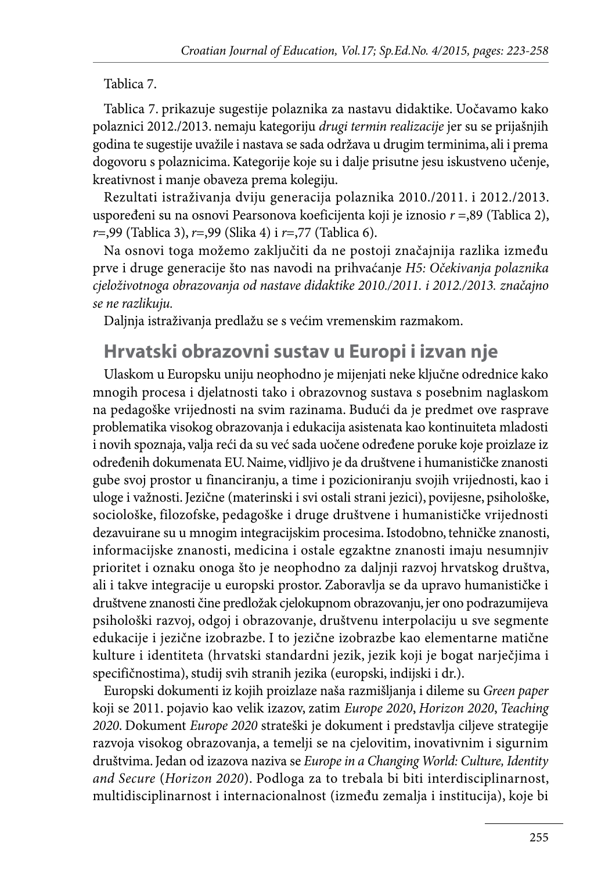#### Tablica 7.

Tablica 7. prikazuje sugestije polaznika za nastavu didaktike. Uočavamo kako polaznici 2012./2013. nemaju kategoriju *drugi termin realizacije* jer su se prijašnjih godina te sugestije uvažile i nastava se sada održava u drugim terminima, ali i prema dogovoru s polaznicima. Kategorije koje su i dalje prisutne jesu iskustveno učenje, kreativnost i manje obaveza prema kolegiju.

Rezultati istraživanja dviju generacija polaznika 2010./2011. i 2012./2013. uspoređeni su na osnovi Pearsonova koeficijenta koji je iznosio *r* =,89 (Tablica 2), *r*=,99 (Tablica 3), *r*=,99 (Slika 4) i *r*=,77 (Tablica 6).

Na osnovi toga možemo zaključiti da ne postoji značajnija razlika između prve i druge generacije što nas navodi na prihvaćanje *H5: Očekivanja polaznika cjeloživotnoga obrazovanja od nastave didaktike 2010./2011. i 2012./2013. značajno se ne razlikuju.* 

Daljnja istraživanja predlažu se s većim vremenskim razmakom.

### **Hrvatski obrazovni sustav u Europi i izvan nje**

Ulaskom u Europsku uniju neophodno je mijenjati neke ključne odrednice kako mnogih procesa i djelatnosti tako i obrazovnog sustava s posebnim naglaskom na pedagoške vrijednosti na svim razinama. Budući da je predmet ove rasprave problematika visokog obrazovanja i edukacija asistenata kao kontinuiteta mladosti i novih spoznaja, valja reći da su već sada uočene određene poruke koje proizlaze iz određenih dokumenata EU. Naime, vidljivo je da društvene i humanističke znanosti gube svoj prostor u financiranju, a time i pozicioniranju svojih vrijednosti, kao i uloge i važnosti. Jezične (materinski i svi ostali strani jezici), povijesne, psihološke, sociološke, filozofske, pedagoške i druge društvene i humanističke vrijednosti dezavuirane su u mnogim integracijskim procesima. Istodobno, tehničke znanosti, informacijske znanosti, medicina i ostale egzaktne znanosti imaju nesumnjiv prioritet i oznaku onoga što je neophodno za daljnji razvoj hrvatskog društva, ali i takve integracije u europski prostor. Zaboravlja se da upravo humanističke i društvene znanosti čine predložak cjelokupnom obrazovanju, jer ono podrazumijeva psihološki razvoj, odgoj i obrazovanje, društvenu interpolaciju u sve segmente edukacije i jezične izobrazbe. I to jezične izobrazbe kao elementarne matične kulture i identiteta (hrvatski standardni jezik, jezik koji je bogat narječjima i specifičnostima), studij svih stranih jezika (europski, indijski i dr.).

Europski dokumenti iz kojih proizlaze naša razmišljanja i dileme su *Green paper* koji se 2011. pojavio kao velik izazov, zatim *Europe 2020*, *Horizon 2020*, *Teaching 2020*. Dokument *Europe 2020* strateški je dokument i predstavlja ciljeve strategije razvoja visokog obrazovanja, a temelji se na cjelovitim, inovativnim i sigurnim društvima. Jedan od izazova naziva se *Europe in a Changing World: Culture, Identity and Secure* (*Horizon 2020*). Podloga za to trebala bi biti interdisciplinarnost, multidisciplinarnost i internacionalnost (između zemalja i institucija), koje bi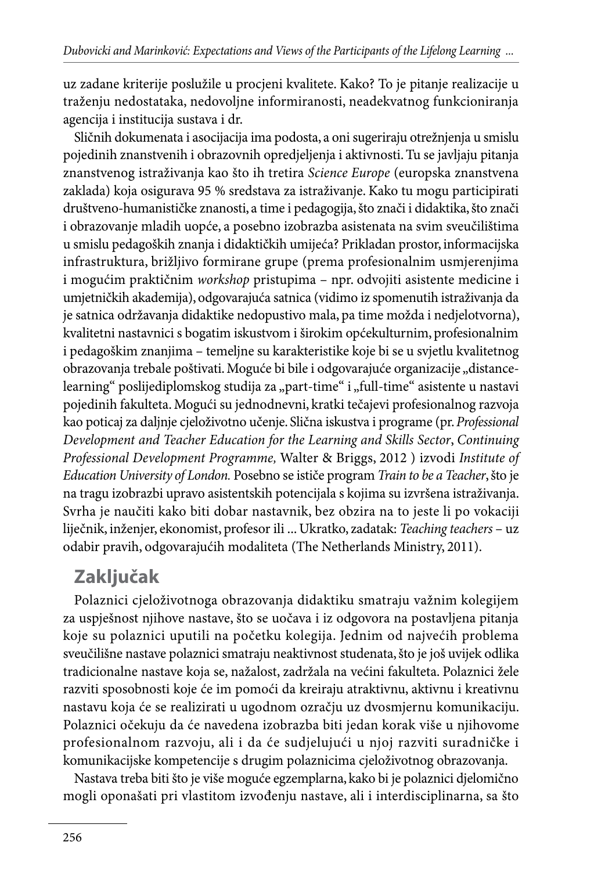uz zadane kriterije poslužile u procjeni kvalitete. Kako? To je pitanje realizacije u traženju nedostataka, nedovoljne informiranosti, neadekvatnog funkcioniranja agencija i institucija sustava i dr.

Sličnih dokumenata i asocijacija ima podosta, a oni sugeriraju otrežnjenja u smislu pojedinih znanstvenih i obrazovnih opredjeljenja i aktivnosti. Tu se javljaju pitanja znanstvenog istraživanja kao što ih tretira *Science Europe* (europska znanstvena zaklada) koja osigurava 95 % sredstava za istraživanje. Kako tu mogu participirati društveno-humanističke znanosti, a time i pedagogija, što znači i didaktika, što znači i obrazovanje mladih uopće, a posebno izobrazba asistenata na svim sveučilištima u smislu pedagoških znanja i didaktičkih umijeća? Prikladan prostor, informacijska infrastruktura, brižljivo formirane grupe (prema profesionalnim usmjerenjima i mogućim praktičnim *workshop* pristupima – npr. odvojiti asistente medicine i umjetničkih akademija), odgovarajuća satnica (vidimo iz spomenutih istraživanja da je satnica održavanja didaktike nedopustivo mala, pa time možda i nedjelotvorna), kvalitetni nastavnici s bogatim iskustvom i širokim općekulturnim, profesionalnim i pedagoškim znanjima – temeljne su karakteristike koje bi se u svjetlu kvalitetnog obrazovanja trebale poštivati. Moguće bi bile i odgovarajuće organizacije "distancelearning" poslijediplomskog studija za "part-time" i "full-time" asistente u nastavi pojedinih fakulteta. Mogući su jednodnevni, kratki tečajevi profesionalnog razvoja kao poticaj za daljnje cjeloživotno učenje. Slična iskustva i programe (pr. *Professional Development and Teacher Education for the Learning and Skills Sector*, *Continuing Professional Development Programme,* Walter & Briggs, 2012 ) izvodi *Institute of Education University of London.* Posebno se ističe program *Train to be a Teacher*, što je na tragu izobrazbi upravo asistentskih potencijala s kojima su izvršena istraživanja. Svrha je naučiti kako biti dobar nastavnik, bez obzira na to jeste li po vokaciji liječnik, inženjer, ekonomist, profesor ili ... Ukratko, zadatak: *Teaching teachers* – uz odabir pravih, odgovarajućih modaliteta (The Netherlands Ministry, 2011).

# **Zaključak**

Polaznici cjeloživotnoga obrazovanja didaktiku smatraju važnim kolegijem za uspješnost njihove nastave, što se uočava i iz odgovora na postavljena pitanja koje su polaznici uputili na početku kolegija. Jednim od najvećih problema sveučilišne nastave polaznici smatraju neaktivnost studenata, što je još uvijek odlika tradicionalne nastave koja se, nažalost, zadržala na većini fakulteta. Polaznici žele razviti sposobnosti koje će im pomoći da kreiraju atraktivnu, aktivnu i kreativnu nastavu koja će se realizirati u ugodnom ozračju uz dvosmjernu komunikaciju. Polaznici očekuju da će navedena izobrazba biti jedan korak više u njihovome profesionalnom razvoju, ali i da će sudjelujući u njoj razviti suradničke i komunikacijske kompetencije s drugim polaznicima cjeloživotnog obrazovanja.

Nastava treba biti što je više moguće egzemplarna, kako bi je polaznici djelomično mogli oponašati pri vlastitom izvođenju nastave, ali i interdisciplinarna, sa što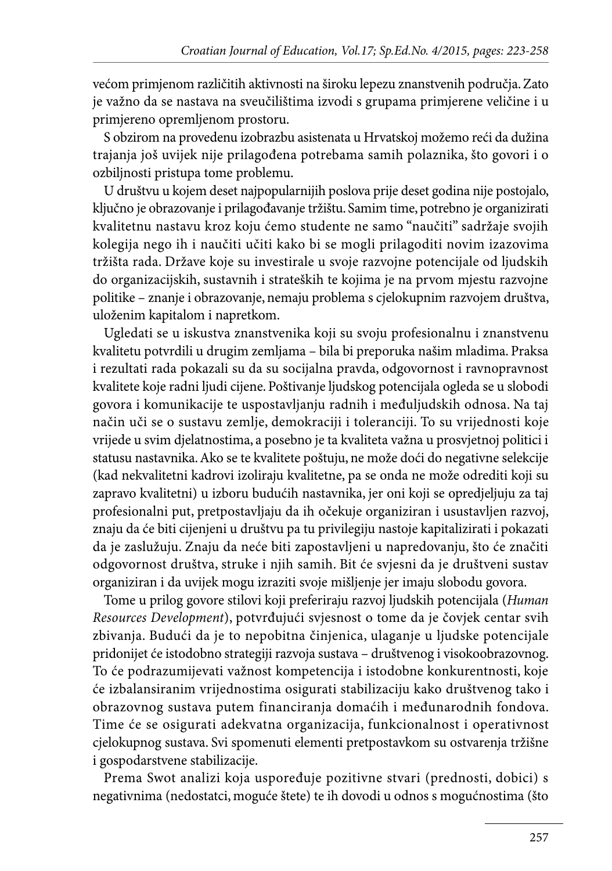većom primjenom različitih aktivnosti na široku lepezu znanstvenih područja. Zato je važno da se nastava na sveučilištima izvodi s grupama primjerene veličine i u primjereno opremljenom prostoru.

S obzirom na provedenu izobrazbu asistenata u Hrvatskoj možemo reći da dužina trajanja još uvijek nije prilagođena potrebama samih polaznika, što govori i o ozbiljnosti pristupa tome problemu.

U društvu u kojem deset najpopularnijih poslova prije deset godina nije postojalo, ključno je obrazovanje i prilagođavanje tržištu. Samim time, potrebno je organizirati kvalitetnu nastavu kroz koju ćemo studente ne samo "naučiti" sadržaje svojih kolegija nego ih i naučiti učiti kako bi se mogli prilagoditi novim izazovima tržišta rada. Države koje su investirale u svoje razvojne potencijale od ljudskih do organizacijskih, sustavnih i strateških te kojima je na prvom mjestu razvojne politike – znanje i obrazovanje, nemaju problema s cjelokupnim razvojem društva, uloženim kapitalom i napretkom.

Ugledati se u iskustva znanstvenika koji su svoju profesionalnu i znanstvenu kvalitetu potvrdili u drugim zemljama – bila bi preporuka našim mladima. Praksa i rezultati rada pokazali su da su socijalna pravda, odgovornost i ravnopravnost kvalitete koje radni ljudi cijene. Poštivanje ljudskog potencijala ogleda se u slobodi govora i komunikacije te uspostavljanju radnih i međuljudskih odnosa. Na taj način uči se o sustavu zemlje, demokraciji i toleranciji. To su vrijednosti koje vrijede u svim djelatnostima, a posebno je ta kvaliteta važna u prosvjetnoj politici i statusu nastavnika. Ako se te kvalitete poštuju, ne može doći do negativne selekcije (kad nekvalitetni kadrovi izoliraju kvalitetne, pa se onda ne može odrediti koji su zapravo kvalitetni) u izboru budućih nastavnika, jer oni koji se opredjeljuju za taj profesionalni put, pretpostavljaju da ih očekuje organiziran i usustavljen razvoj, znaju da će biti cijenjeni u društvu pa tu privilegiju nastoje kapitalizirati i pokazati da je zaslužuju. Znaju da neće biti zapostavljeni u napredovanju, što će značiti odgovornost društva, struke i njih samih. Bit će svjesni da je društveni sustav organiziran i da uvijek mogu izraziti svoje mišljenje jer imaju slobodu govora.

Tome u prilog govore stilovi koji preferiraju razvoj ljudskih potencijala (*Human Resources Development*), potvrđujući svjesnost o tome da je čovjek centar svih zbivanja. Budući da je to nepobitna činjenica, ulaganje u ljudske potencijale pridonijet će istodobno strategiji razvoja sustava – društvenog i visokoobrazovnog. To će podrazumijevati važnost kompetencija i istodobne konkurentnosti, koje će izbalansiranim vrijednostima osigurati stabilizaciju kako društvenog tako i obrazovnog sustava putem financiranja domaćih i međunarodnih fondova. Time će se osigurati adekvatna organizacija, funkcionalnost i operativnost cjelokupnog sustava. Svi spomenuti elementi pretpostavkom su ostvarenja tržišne i gospodarstvene stabilizacije.

Prema Swot analizi koja uspoređuje pozitivne stvari (prednosti, dobici) s negativnima (nedostatci, moguće štete) te ih dovodi u odnos s mogućnostima (što